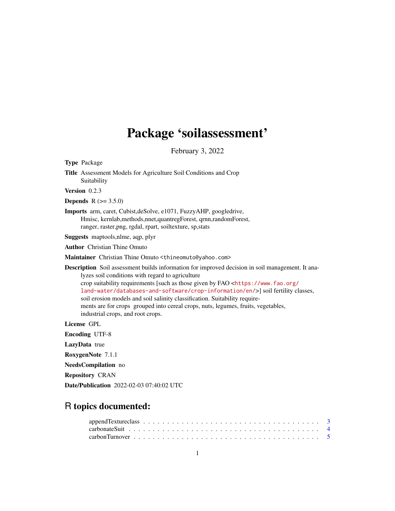# Package 'soilassessment'

February 3, 2022

Type Package

Title Assessment Models for Agriculture Soil Conditions and Crop Suitability

Version 0.2.3

**Depends**  $R (= 3.5.0)$ 

Imports arm, caret, Cubist,deSolve, e1071, FuzzyAHP, googledrive, Hmisc, kernlab,methods,nnet,quantregForest, qrnn,randomForest, ranger, raster,png, rgdal, rpart, soiltexture, sp,stats

Suggests maptools,nlme, aqp, plyr

Author Christian Thine Omuto

Maintainer Christian Thine Omuto <thineomuto@yahoo.com>

Description Soil assessment builds information for improved decision in soil management. It analyzes soil conditions with regard to agriculture crop suitability requirements [such as those given by FAO <[https://www.fao.org/](https://www.fao.org/land-water/databases-and-software/crop-information/en/) [land-water/databases-and-software/crop-information/en/](https://www.fao.org/land-water/databases-and-software/crop-information/en/)>] soil fertility classes, soil erosion models and soil salinity classification. Suitability requirements are for crops grouped into cereal crops, nuts, legumes, fruits, vegetables, industrial crops, and root crops.

License GPL

Encoding UTF-8

LazyData true

RoxygenNote 7.1.1

NeedsCompilation no

Repository CRAN

Date/Publication 2022-02-03 07:40:02 UTC

## R topics documented: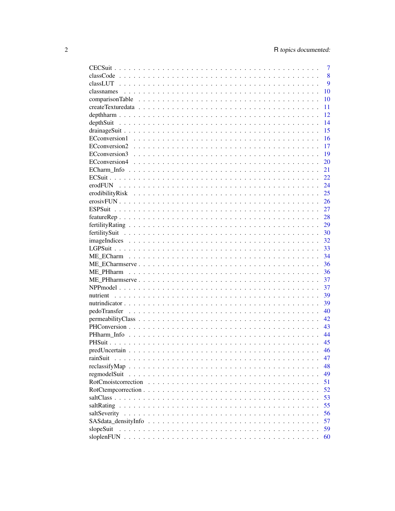|                | 7        |
|----------------|----------|
|                | 8        |
|                | 9        |
|                | 10       |
|                | 10       |
|                | 11       |
|                | 12       |
|                | 14       |
|                | 15       |
|                | 16       |
|                | 17       |
|                | 19       |
|                | 20       |
|                | 21       |
|                | 22       |
| erodFUN        | 24       |
|                | 25       |
|                | 26       |
| <b>ESPSuit</b> | 27       |
|                | 28       |
|                | 29       |
|                | 30       |
|                | 32       |
|                | 33       |
|                | 34       |
|                | 36       |
|                | 36       |
|                | 37       |
|                | 37       |
|                | 39       |
|                | 39       |
|                | 40       |
|                | 42       |
|                | 43       |
|                | 44       |
|                | 45       |
|                | 46       |
| rainSuit       | 47       |
|                | 48       |
| regmodelSuit   | 49       |
|                | 51       |
|                | 52       |
|                |          |
|                | 53<br>55 |
|                |          |
|                | 56       |
|                | 57       |
| slopeSuit      | 59       |
|                | 60       |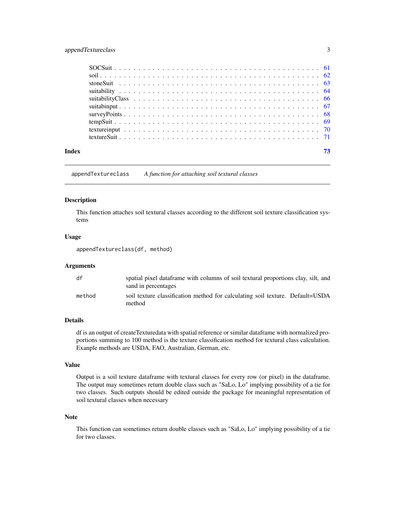## <span id="page-2-0"></span>appendTextureclass 3

| Index |  |
|-------|--|

appendTextureclass *A function for attaching soil textural classes*

#### Description

This function attaches soil textural classes according to the different soil texture classification systems

## Usage

appendTextureclass(df, method)

## Arguments

| df     | spatial pixel dataframe with columns of soil textural proportions clay, silt, and<br>sand in percentages |
|--------|----------------------------------------------------------------------------------------------------------|
| method | soil texture classification method for calculating soil texture. Default=USDA<br>method                  |

## Details

df is an output of createTexturedata with spatial reference or similar dataframe with normalized proportions summing to 100 method is the texture classification method for textural class calculation. Exanple methods are USDA, FAO, Australian, German, etc.

#### Value

Output is a soil texture dataframe with textural classes for every row (or pixel) in the dataframe. The output may sometimes return double class such as "SaLo, Lo" implying possibility of a tie for two classes. Such outputs should be edited outside the package for meaningful representation of soil textural classes when necessary

#### Note

This function can sometimes return double classes such as "SaLo, Lo" implying possibility of a tie for two classes.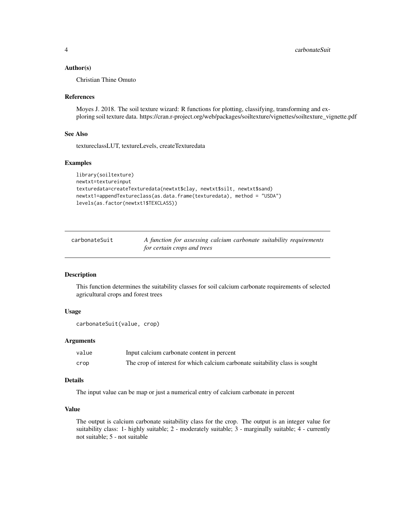#### <span id="page-3-0"></span>Author(s)

Christian Thine Omuto

#### References

Moyes J. 2018. The soil texture wizard: R functions for plotting, classifying, transforming and exploring soil texture data. https://cran.r-project.org/web/packages/soiltexture/vignettes/soiltexture\_vignette.pdf

#### See Also

textureclassLUT, textureLevels, createTexturedata

#### Examples

```
library(soiltexture)
newtxt=textureinput
texturedata=createTexturedata(newtxt$clay, newtxt$silt, newtxt$sand)
newtxt1=appendTextureclass(as.data.frame(texturedata), method = "USDA")
levels(as.factor(newtxt1$TEXCLASS))
```

| carbonateSuit | A function for assessing calcium carbonate suitability requirements |  |  |  |
|---------------|---------------------------------------------------------------------|--|--|--|
|               | for certain crops and trees                                         |  |  |  |

#### Description

This function determines the suitability classes for soil calcium carbonate requirements of selected agricultural crops and forest trees

## Usage

```
carbonateSuit(value, crop)
```
## Arguments

| value | Input calcium carbonate content in percent                                   |
|-------|------------------------------------------------------------------------------|
| crop  | The crop of interest for which calcium carbonate suitability class is sought |

## Details

The input value can be map or just a numerical entry of calcium carbonate in percent

## Value

The output is calcium carbonate suitability class for the crop. The output is an integer value for suitability class: 1- highly suitable; 2 - moderately suitable; 3 - marginally suitable; 4 - currently not suitable; 5 - not suitable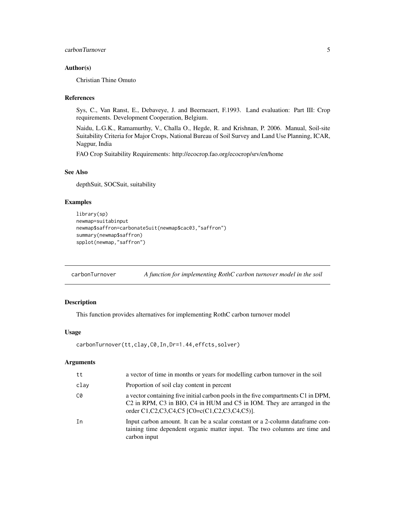## <span id="page-4-0"></span>carbonTurnover 5

## Author(s)

Christian Thine Omuto

## References

Sys, C., Van Ranst, E., Debaveye, J. and Beerneaert, F.1993. Land evaluation: Part III: Crop requirements. Development Cooperation, Belgium.

Naidu, L.G.K., Ramamurthy, V., Challa O., Hegde, R. and Krishnan, P. 2006. Manual, Soil-site Suitability Criteria for Major Crops, National Bureau of Soil Survey and Land Use Planning, ICAR, Nagpur, India

FAO Crop Suitability Requirements: http://ecocrop.fao.org/ecocrop/srv/en/home

#### See Also

depthSuit, SOCSuit, suitability

## Examples

```
library(sp)
newmap=suitabinput
newmap$saffron=carbonateSuit(newmap$cac03,"saffron")
summary(newmap$saffron)
spplot(newmap,"saffron")
```
carbonTurnover *A function for implementing RothC carbon turnover model in the soil*

## Description

This function provides alternatives for implementing RothC carbon turnover model

#### Usage

```
carbonTurnover(tt,clay,C0,In,Dr=1.44,effcts,solver)
```
## Arguments

| tt   | a vector of time in months or years for modelling carbon turnover in the soil                                                                                                                                                                                |
|------|--------------------------------------------------------------------------------------------------------------------------------------------------------------------------------------------------------------------------------------------------------------|
| clay | Proportion of soil clay content in percent                                                                                                                                                                                                                   |
| C0   | a vector containing five initial carbon pools in the five compartments C1 in DPM,<br>C <sub>2</sub> in RPM, C <sub>3</sub> in BIO, C <sub>4</sub> in HUM and C <sub>5</sub> in IOM. They are arranged in the<br>order C1,C2,C3,C4,C5 [C0=c(C1,C2,C3,C4,C5)]. |
| In   | Input carbon amount. It can be a scalar constant or a 2-column data frame con-<br>taining time dependent organic matter input. The two columns are time and<br>carbon input                                                                                  |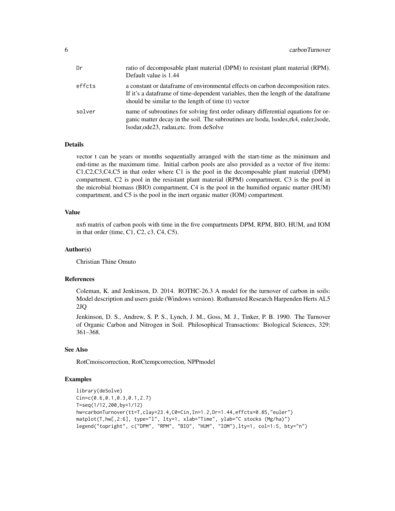| Dr     | ratio of decomposable plant material (DPM) to resistant plant material (RPM).<br>Default value is 1.44                                                                                                                       |
|--------|------------------------------------------------------------------------------------------------------------------------------------------------------------------------------------------------------------------------------|
| effcts | a constant or dataframe of environmental effects on carbon decomposition rates.<br>If it's a data frame of time-dependent variables, then the length of the data frame<br>should be similar to the length of time (t) vector |
| solver | name of subroutines for solving first order odinary differential equations for or-<br>ganic matter decay in the soil. The subroutines are lsoda, lsodes, rk4, euler, lsode,<br>lsodar, ode23, radau, etc. from deSolve       |

#### Details

vector t can be years or months sequentially arranged with the start-time as the minimum and end-time as the maximum time. Initial carbon pools are also provided as a vector of five items: C1,C2,C3,C4,C5 in that order where C1 is the pool in the decomposable plant material (DPM) compartment, C2 is pool in the resistant plant material (RPM) compartment, C3 is the pool in the microbial biomass (BIO) compartment, C4 is the pool in the humified organic matter (HUM) compartment, and C5 is the pool in the inert organic matter (IOM) compartment.

#### Value

nx6 matrix of carbon pools with time in the five compartments DPM, RPM, BIO, HUM, and IOM in that order (time, C1, C2, c3, C4, C5).

#### Author(s)

Christian Thine Omuto

#### References

Coleman, K. and Jenkinson, D. 2014. ROTHC-26.3 A model for the turnover of carbon in soils: Model description and users guide (Windows version). Rothamsted Research Harpenden Herts AL5 2JQ

Jenkinson, D. S., Andrew, S. P. S., Lynch, J. M., Goss, M. J., Tinker, P. B. 1990. The Turnover of Organic Carbon and Nitrogen in Soil. Philosophical Transactions: Biological Sciences, 329: 361–368.

## See Also

RotCmoiscorrection, RotCtempcorrection, NPPmodel

## Examples

```
library(deSolve)
Cin=c(0.6,0.1,0.3,0.1,2.7)
T=seq(1/12,200,by=1/12)
hw=carbonTurnover(tt=T,clay=23.4,C0=Cin,In=1.2,Dr=1.44,effcts=0.85,"euler")
matplot(T,hw[,2:6], type="l", lty=1, xlab="Time", ylab="C stocks (Mg/ha)")
legend("topright", c("DPM", "RPM", "BIO", "HUM", "IOM"),lty=1, col=1:5, bty="n")
```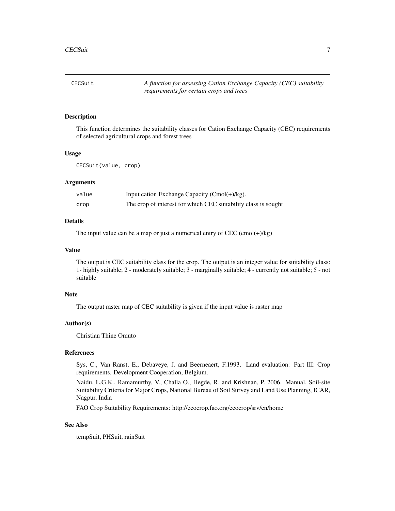<span id="page-6-0"></span>CECSuit *A function for assessing Cation Exchange Capacity (CEC) suitability requirements for certain crops and trees*

## Description

This function determines the suitability classes for Cation Exchange Capacity (CEC) requirements of selected agricultural crops and forest trees

#### Usage

CECSuit(value, crop)

#### Arguments

| value | Input cation Exchange Capacity $(Cmol(+)/kg)$ .                |
|-------|----------------------------------------------------------------|
| crop  | The crop of interest for which CEC suitability class is sought |

#### Details

The input value can be a map or just a numerical entry of CEC  $(\text{cmol}(+)/\text{kg})$ 

#### Value

The output is CEC suitability class for the crop. The output is an integer value for suitability class: 1- highly suitable; 2 - moderately suitable; 3 - marginally suitable; 4 - currently not suitable; 5 - not suitable

#### Note

The output raster map of CEC suitability is given if the input value is raster map

## Author(s)

Christian Thine Omuto

#### References

Sys, C., Van Ranst, E., Debaveye, J. and Beerneaert, F.1993. Land evaluation: Part III: Crop requirements. Development Cooperation, Belgium.

Naidu, L.G.K., Ramamurthy, V., Challa O., Hegde, R. and Krishnan, P. 2006. Manual, Soil-site Suitability Criteria for Major Crops, National Bureau of Soil Survey and Land Use Planning, ICAR, Nagpur, India

FAO Crop Suitability Requirements: http://ecocrop.fao.org/ecocrop/srv/en/home

## See Also

tempSuit, PHSuit, rainSuit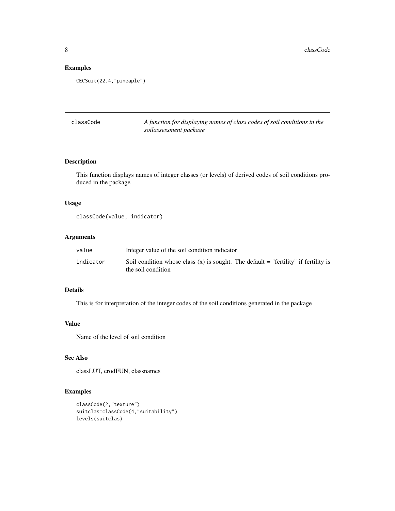## Examples

CECSuit(22.4,"pineaple")

| classCode | A function for displaying names of class codes of soil conditions in the |
|-----------|--------------------------------------------------------------------------|
|           | soilassessment package                                                   |

## Description

This function displays names of integer classes (or levels) of derived codes of soil conditions produced in the package

## Usage

```
classCode(value, indicator)
```
## Arguments

| value     | Integer value of the soil condition indicator                                                               |
|-----------|-------------------------------------------------------------------------------------------------------------|
| indicator | Soil condition whose class $(x)$ is sought. The default = "fertility" if fertility is<br>the soil condition |

## Details

This is for interpretation of the integer codes of the soil conditions generated in the package

#### Value

Name of the level of soil condition

## See Also

classLUT, erodFUN, classnames

## Examples

```
classCode(2,"texture")
suitclas=classCode(4,"suitability")
levels(suitclas)
```
<span id="page-7-0"></span>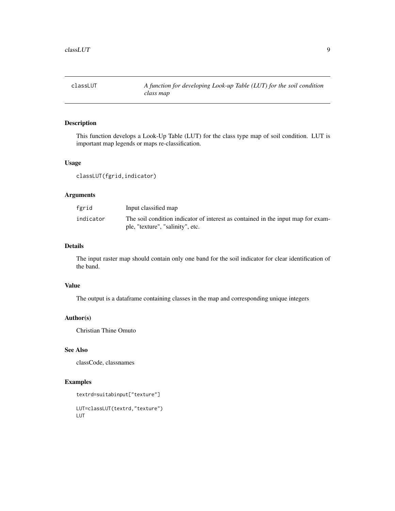<span id="page-8-0"></span>classLUT *A function for developing Look-up Table (LUT) for the soil condition class map*

## Description

This function develops a Look-Up Table (LUT) for the class type map of soil condition. LUT is important map legends or maps re-classification.

## Usage

classLUT(fgrid,indicator)

## Arguments

| fgrid     | Input classified map                                                                                                 |
|-----------|----------------------------------------------------------------------------------------------------------------------|
| indicator | The soil condition indicator of interest as contained in the input map for exam-<br>ple, "texture", "salinity", etc. |

## Details

The input raster map should contain only one band for the soil indicator for clear identification of the band.

## Value

The output is a dataframe containing classes in the map and corresponding unique integers

## Author(s)

Christian Thine Omuto

## See Also

classCode, classnames

## Examples

```
textrd=suitabinput["texture"]
```
LUT=classLUT(textrd,"texture") LUT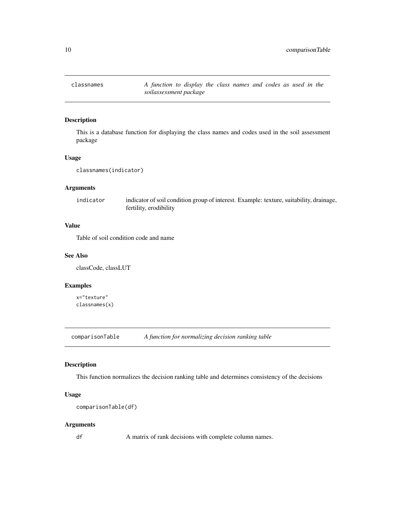<span id="page-9-0"></span>

## Description

This is a database function for displaying the class names and codes used in the soil assessment package

## Usage

classnames(indicator)

## Arguments

indicator indicator of soil condition group of interest. Example: texture, suitability, drainage, fertility, erodibility

## Value

Table of soil condition code and name

## See Also

classCode, classLUT

## Examples

x="texture" classnames(x)

comparisonTable *A function for normalizing decision ranking table*

#### Description

This function normalizes the decision ranking table and determines consistency of the decisions

#### Usage

```
comparisonTable(df)
```
#### Arguments

df A matrix of rank decisions with complete column names.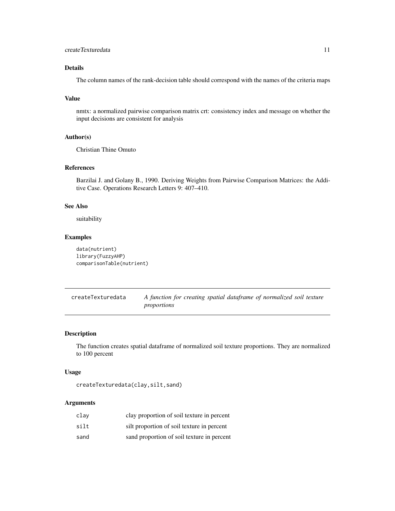## <span id="page-10-0"></span>createTexturedata 11

## Details

The column names of the rank-decision table should correspond with the names of the criteria maps

#### Value

nmtx: a normalized pairwise comparison matrix crt: consistency index and message on whether the input decisions are consistent for analysis

### Author(s)

Christian Thine Omuto

## References

Barzilai J. and Golany B., 1990. Deriving Weights from Pairwise Comparison Matrices: the Additive Case. Operations Research Letters 9: 407–410.

## See Also

suitability

#### Examples

```
data(nutrient)
library(FuzzyAHP)
comparisonTable(nutrient)
```

| createTexturedata | A function for creating spatial dataframe of normalized soil texture |  |  |  |  |
|-------------------|----------------------------------------------------------------------|--|--|--|--|
|                   | proportions                                                          |  |  |  |  |

## Description

The function creates spatial dataframe of normalized soil texture proportions. They are normalized to 100 percent

## Usage

createTexturedata(clay,silt,sand)

## Arguments

| clav | clay proportion of soil texture in percent |
|------|--------------------------------------------|
| silt | silt proportion of soil texture in percent |
| sand | sand proportion of soil texture in percent |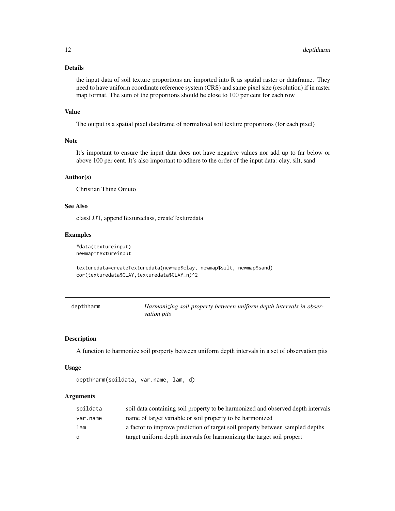## <span id="page-11-0"></span>Details

the input data of soil texture proportions are imported into R as spatial raster or dataframe. They need to have uniform coordinate reference system (CRS) and same pixel size (resolution) if in raster map format. The sum of the proportions should be close to 100 per cent for each row

#### Value

The output is a spatial pixel dataframe of normalized soil texture proportions (for each pixel)

## Note

It's important to ensure the input data does not have negative values nor add up to far below or above 100 per cent. It's also important to adhere to the order of the input data: clay, silt, sand

## Author(s)

Christian Thine Omuto

## See Also

classLUT, appendTextureclass, createTexturedata

#### Examples

```
#data(textureinput)
newmap=textureinput
```

```
texturedata=createTexturedata(newmap$clay, newmap$silt, newmap$sand)
cor(texturedata$CLAY,texturedata$CLAY_n)^2
```

| depthharm | Harmonizing soil property between uniform depth intervals in obser- |
|-----------|---------------------------------------------------------------------|
|           | <i>vation pits</i>                                                  |

#### Description

A function to harmonize soil property between uniform depth intervals in a set of observation pits

#### Usage

```
depthharm(soildata, var.name, lam, d)
```
#### Arguments

| soildata | soil data containing soil property to be harmonized and observed depth intervals |
|----------|----------------------------------------------------------------------------------|
| var.name | name of target variable or soil property to be harmonized                        |
| lam      | a factor to improve prediction of target soil property between sampled depths    |
| d.       | target uniform depth intervals for harmonizing the target soil propert           |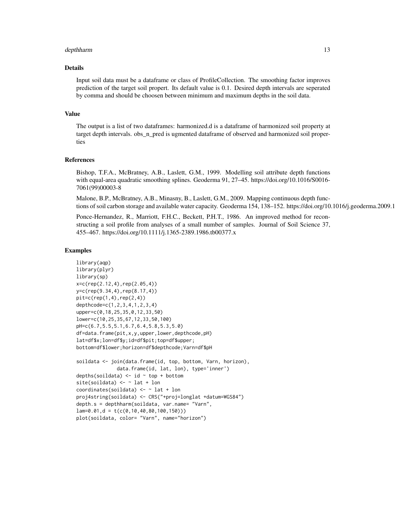#### depthharm the contract of the contract of the contract of the contract of the contract of the contract of the contract of the contract of the contract of the contract of the contract of the contract of the contract of the

#### Details

Input soil data must be a dataframe or class of ProfileCollection. The smoothing factor improves prediction of the target soil propert. Its default value is 0.1. Desired depth intervals are seperated by comma and should be choosen between minimum and maximum depths in the soil data.

#### Value

The output is a list of two dataframes: harmonized.d is a dataframe of harmonized soil property at target depth intervals. obs\_n\_pred is ugmented dataframe of observed and harmonized soil properties

#### References

Bishop, T.F.A., McBratney, A.B., Laslett, G.M., 1999. Modelling soil attribute depth functions with equal-area quadratic smoothing splines. Geoderma 91, 27–45. https://doi.org/10.1016/S0016- 7061(99)00003-8

Malone, B.P., McBratney, A.B., Minasny, B., Laslett, G.M., 2009. Mapping continuous depth functions of soil carbon storage and available water capacity. Geoderma 154, 138–152. https://doi.org/10.1016/j.geoderma.2009.1

Ponce-Hernandez, R., Marriott, F.H.C., Beckett, P.H.T., 1986. An improved method for reconstructing a soil profile from analyses of a small number of samples. Journal of Soil Science 37, 455–467. https://doi.org/10.1111/j.1365-2389.1986.tb00377.x

#### Examples

```
library(aqp)
library(plyr)
library(sp)
x=c(rep(2.12,4),rep(2.05,4))
y=c(rep(9.34,4),rep(8.17,4))
pit=c(rep(1,4),rep(2,4))
depthcode=c(1,2,3,4,1,2,3,4)
upper=c(0,18,25,35,0,12,33,50)
lower=c(10,25,35,67,12,33,50,100)
pH=c(6.7,5.5,5.1,6.7,6.4,5.8,5.3,5.0)
df=data.frame(pit,x,y,upper,lower,depthcode,pH)
lat=df$x;lon=df$y;id=df$pit;top=df$upper;
bottom=df$lower;horizon=df$depthcode;Varn=df$pH
soildata <- join(data.frame(id, top, bottom, Varn, horizon),
              data.frame(id, lat, lon), type='inner')
depths(soildata) \leq id \sim top + bottom
site(soildata) \leq \sim lat + lon
coordinates(soildata) <- ~ lat + lon
proj4string(soildata) <- CRS("+proj=longlat +datum=WGS84")
depth.s = depthharm(soildata, var.name= "Varn",
lam=0.01,d = t(c(0,10,40,80,100,150)))
plot(soildata, color= "Varn", name="horizon")
```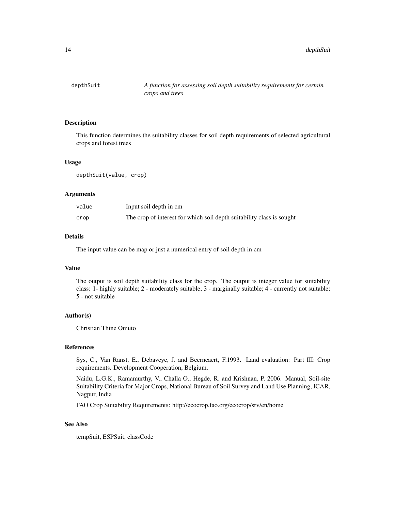<span id="page-13-0"></span>

## Description

This function determines the suitability classes for soil depth requirements of selected agricultural crops and forest trees

#### Usage

depthSuit(value, crop)

#### Arguments

| value | Input soil depth in cm                                                |
|-------|-----------------------------------------------------------------------|
| crop  | The crop of interest for which soil depth suitability class is sought |

#### Details

The input value can be map or just a numerical entry of soil depth in cm

#### Value

The output is soil depth suitability class for the crop. The output is integer value for suitability class: 1- highly suitable; 2 - moderately suitable; 3 - marginally suitable; 4 - currently not suitable; 5 - not suitable

## Author(s)

Christian Thine Omuto

#### References

Sys, C., Van Ranst, E., Debaveye, J. and Beerneaert, F.1993. Land evaluation: Part III: Crop requirements. Development Cooperation, Belgium.

Naidu, L.G.K., Ramamurthy, V., Challa O., Hegde, R. and Krishnan, P. 2006. Manual, Soil-site Suitability Criteria for Major Crops, National Bureau of Soil Survey and Land Use Planning, ICAR, Nagpur, India

FAO Crop Suitability Requirements: http://ecocrop.fao.org/ecocrop/srv/en/home

## See Also

tempSuit, ESPSuit, classCode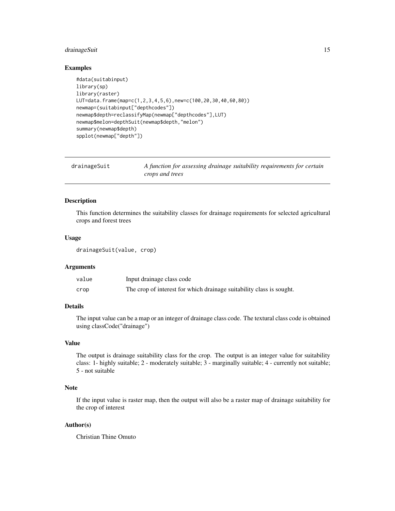## <span id="page-14-0"></span>drainageSuit 15

#### Examples

```
#data(suitabinput)
library(sp)
library(raster)
LUT=data.frame(map=c(1,2,3,4,5,6),new=c(100,20,30,40,60,80))
newmap=(suitabinput["depthcodes"])
newmap$depth=reclassifyMap(newmap["depthcodes"],LUT)
newmap$melon=depthSuit(newmap$depth,"melon")
summary(newmap$depth)
spplot(newmap["depth"])
```

| drainageSuit | A function for assessing drainage suitability requirements for certain |
|--------------|------------------------------------------------------------------------|
|              | crops and trees                                                        |

## Description

This function determines the suitability classes for drainage requirements for selected agricultural crops and forest trees

## Usage

```
drainageSuit(value, crop)
```
#### Arguments

| value | Input drainage class code                                            |
|-------|----------------------------------------------------------------------|
| crop  | The crop of interest for which drainage suitability class is sought. |

#### Details

The input value can be a map or an integer of drainage class code. The textural class code is obtained using classCode("drainage")

## Value

The output is drainage suitability class for the crop. The output is an integer value for suitability class: 1- highly suitable; 2 - moderately suitable; 3 - marginally suitable; 4 - currently not suitable; 5 - not suitable

## Note

If the input value is raster map, then the output will also be a raster map of drainage suitability for the crop of interest

## Author(s)

Christian Thine Omuto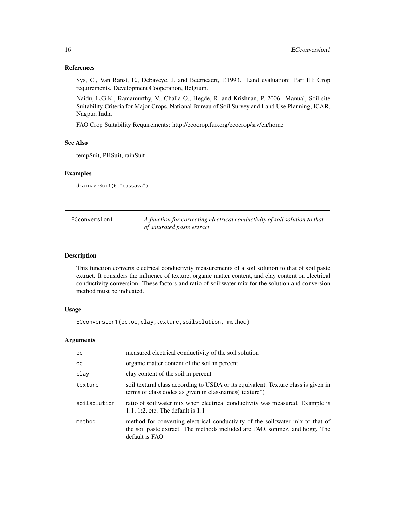## References

Sys, C., Van Ranst, E., Debaveye, J. and Beerneaert, F.1993. Land evaluation: Part III: Crop requirements. Development Cooperation, Belgium.

Naidu, L.G.K., Ramamurthy, V., Challa O., Hegde, R. and Krishnan, P. 2006. Manual, Soil-site Suitability Criteria for Major Crops, National Bureau of Soil Survey and Land Use Planning, ICAR, Nagpur, India

FAO Crop Suitability Requirements: http://ecocrop.fao.org/ecocrop/srv/en/home

#### See Also

tempSuit, PHSuit, rainSuit

## Examples

drainageSuit(6,"cassava")

| ECconversion1 | A function for correcting electrical conductivity of soil solution to that |
|---------------|----------------------------------------------------------------------------|
|               | of saturated paste extract                                                 |

## Description

This function converts electrical conductivity measurements of a soil solution to that of soil paste extract. It considers the influence of texture, organic matter content, and clay content on electrical conductivity conversion. These factors and ratio of soil:water mix for the solution and conversion method must be indicated.

## Usage

ECconversion1(ec,oc,clay,texture,soilsolution, method)

## Arguments

| ec            | measured electrical conductivity of the soil solution                                                                                                                            |
|---------------|----------------------------------------------------------------------------------------------------------------------------------------------------------------------------------|
| <sub>OC</sub> | organic matter content of the soil in percent                                                                                                                                    |
| clay          | clay content of the soil in percent                                                                                                                                              |
| texture       | soil textural class according to USDA or its equivalent. Texture class is given in<br>terms of class codes as given in classnames ("texture")                                    |
| soilsolution  | ratio of soil: water mix when electrical conductivity was measured. Example is<br>1:1, 1:2, etc. The default is $1:1$                                                            |
| method        | method for converting electrical conductivity of the soil: water mix to that of<br>the soil paste extract. The methods included are FAO, sonmez, and hogg. The<br>default is FAO |

<span id="page-15-0"></span>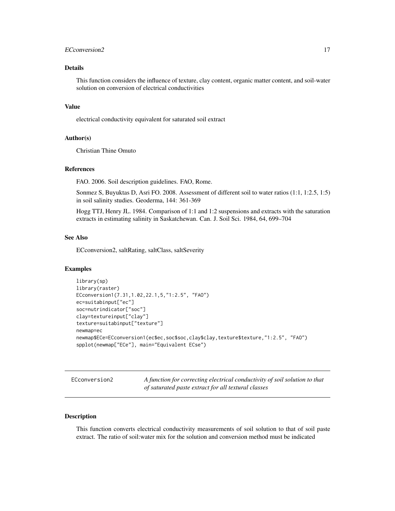## <span id="page-16-0"></span>ECConversion2 17

## Details

This function considers the influence of texture, clay content, organic matter content, and soil-water solution on conversion of electrical conductivities

## Value

electrical conductivity equivalent for saturated soil extract

#### Author(s)

Christian Thine Omuto

### References

FAO. 2006. Soil description guidelines. FAO, Rome.

Sonmez S, Buyuktas D, Asri FO. 2008. Assessment of different soil to water ratios (1:1, 1:2.5, 1:5) in soil salinity studies. Geoderma, 144: 361-369

Hogg TTJ, Henry JL. 1984. Comparison of 1:1 and 1:2 suspensions and extracts with the saturation extracts in estimating salinity in Saskatchewan. Can. J. Soil Sci. 1984, 64, 699–704

## See Also

ECconversion2, saltRating, saltClass, saltSeverity

#### Examples

```
library(sp)
library(raster)
ECconversion1(7.31,1.02,22.1,5,"1:2.5", "FAO")
ec=suitabinput["ec"]
soc=nutrindicator["soc"]
clay=textureinput["clay"]
texture=suitabinput["texture"]
newmap=ec
newmap$ECe=ECconversion1(ec$ec,soc$soc,clay$clay,texture$texture,"1:2.5", "FAO")
spplot(newmap["ECe"], main="Equivalent ECse")
```
ECconversion2 *A function for correcting electrical conductivity of soil solution to that of saturated paste extract for all textural classes*

#### Description

This function converts electrical conductivity measurements of soil solution to that of soil paste extract. The ratio of soil:water mix for the solution and conversion method must be indicated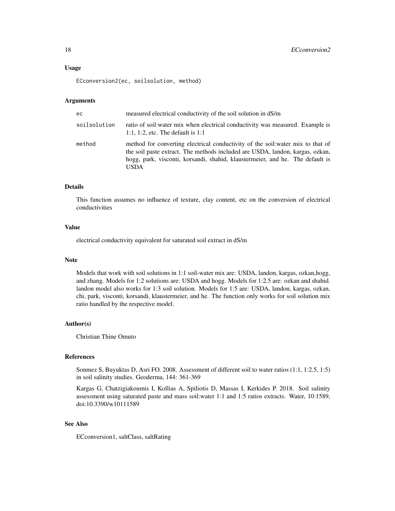#### Usage

ECconversion2(ec, soilsolution, method)

#### Arguments

| ec           | measured electrical conductivity of the soil solution in dS/m                                                                                                                                                                                             |
|--------------|-----------------------------------------------------------------------------------------------------------------------------------------------------------------------------------------------------------------------------------------------------------|
| soilsolution | ratio of soil: water mix when electrical conductivity was measured. Example is<br>1:1, 1:2, etc. The default is $1:1$                                                                                                                                     |
| method       | method for converting electrical conductivity of the soil: water mix to that of<br>the soil paste extract. The methods included are USDA, landon, kargas, ozkan,<br>hogg, park, visconti, korsandi, shahid, klaustermeier, and he. The default is<br>USDA |

## Details

This function assumes no influence of texture, clay content, etc on the conversion of electrical conductivities

## Value

electrical conductivity equivalent for saturated soil extract in dS/m

#### Note

Models that work with soil solutions in 1:1 soil-water mix are: USDA, landon, kargas, ozkan,hogg, and zhang. Models for 1:2 solutions are: USDA and hogg. Models for 1:2.5 are: ozkan and shahid. landon model also works for 1:3 soil solution. Models for 1:5 are: USDA, landon, kargas, ozkan, chi, park, visconti, korsandi, klaustermeier, and he. The function only works for soil solution mix ratio handled by the respective model.

#### Author(s)

Christian Thine Omuto

## References

Sonmez S, Buyuktas D, Asri FO. 2008. Assessment of different soil to water ratios (1:1, 1:2.5, 1:5) in soil salinity studies. Geoderma, 144: 361-369

Kargas G, Chatzigiakoumis I, Kollias A, Spiliotis D, Massas I, Kerkides P. 2018. Soil salinity assessment using saturated paste and mass soil:water 1:1 and 1:5 ratios extracts. Water, 10:1589, doi:10.3390/w10111589

## See Also

ECconversion1, saltClass, saltRating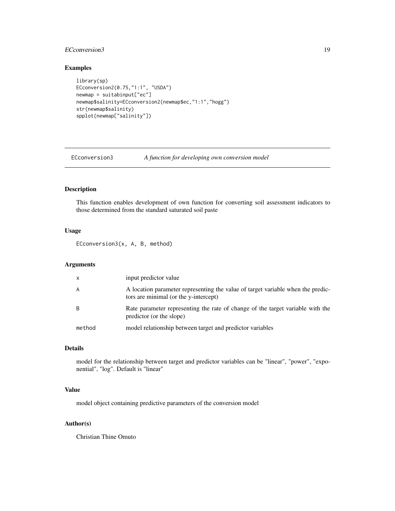## <span id="page-18-0"></span>ECConversion3 19

## Examples

```
library(sp)
ECconversion2(0.75,"1:1", "USDA")
newmap = suitabinput["ec"]
newmap$salinity=ECconversion2(newmap$ec,"1:1","hogg")
str(newmap$salinity)
spplot(newmap["salinity"])
```
ECconversion3 *A function for developing own conversion model*

## Description

This function enables development of own function for converting soil assessment indicators to those determined from the standard saturated soil paste

## Usage

ECconversion3(x, A, B, method)

## Arguments

| $\mathsf{x}$ | input predictor value                                                                                                    |
|--------------|--------------------------------------------------------------------------------------------------------------------------|
| A            | A location parameter representing the value of target variable when the predic-<br>tors are minimal (or the y-intercept) |
| B            | Rate parameter representing the rate of change of the target variable with the<br>predictor (or the slope)               |
| method       | model relationship between target and predictor variables                                                                |

## Details

model for the relationship between target and predictor variables can be "linear", "power", "exponential", "log". Default is "linear"

## Value

model object containing predictive parameters of the conversion model

#### Author(s)

Christian Thine Omuto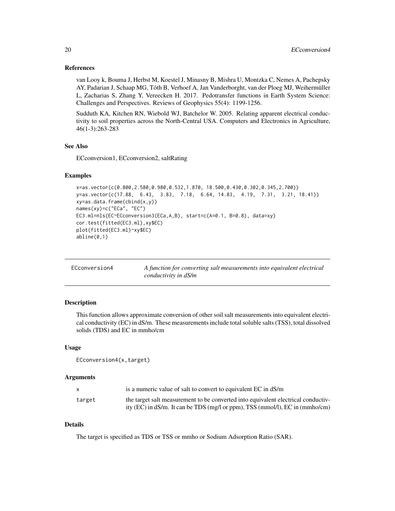### <span id="page-19-0"></span>References

van Looy k, Bouma J, Herbst M, Koestel J, Minasny B, Mishra U, Montzka C, Nemes A, Pachepsky AY, Padarian J, Schaap MG, Tóth B, Verhoef A, Jan Vanderborght, van der Ploeg MJ, Weihermüller L, Zacharias S, Zhang Y, Vereecken H. 2017. Pedotransfer functions in Earth System Science: Challenges and Perspectives. Reviews of Geophysics 55(4): 1199-1256.

Sudduth KA, Kitchen RN, Wiebold WJ, Batchelor W. 2005. Relating apparent electrical conductivity to soil properties across the North-Central USA. Computers and Electronics in Agriculture, 46(1-3):263-283

#### See Also

ECconversion1, ECconversion2, saltRating

#### Examples

```
x=as.vector(c(0.800,2.580,0.980,0.532,1.870, 18.500,0.430,0.302,0.345,2.700))
y=as.vector(c(17.88, 6.43, 3.83, 7.18, 6.64, 14.83, 4.19, 7.31, 3.21, 18.41))
xy=as.data.frame(cbind(x,y))
names(xy)=c("ECa", "EC")
EC3.ml=nls(EC~ECconversion3(ECa,A,B), start=c(A=0.1, B=0.8), data=xy)
cor.test(fitted(EC3.ml),xy$EC)
plot(fitted(EC3.ml)~xy$EC)
abline(0,1)
```

| ECconversion4 | A function for converting salt measurements into equivalent electrical |
|---------------|------------------------------------------------------------------------|
|               | conductivity in dS/m                                                   |

## Description

This function allows approximate conversion of other soil salt measurements into equivalent electrical conductivity (EC) in dS/m. These measurements include total soluble salts (TSS), total dissolved solids (TDS) and EC in mmho/cm

#### Usage

```
ECconversion4(x,target)
```
#### Arguments

| X      | is a numeric value of salt to convert to equivalent EC in dS/m                    |
|--------|-----------------------------------------------------------------------------------|
| target | the target salt measurement to be converted into equivalent electrical conductiv- |
|        | ity (EC) in dS/m. It can be TDS (mg/l or ppm), TSS (mmol/l), EC in (mmho/cm)      |

## Details

The target is specified as TDS or TSS or mmho or Sodium Adsorption Ratio (SAR).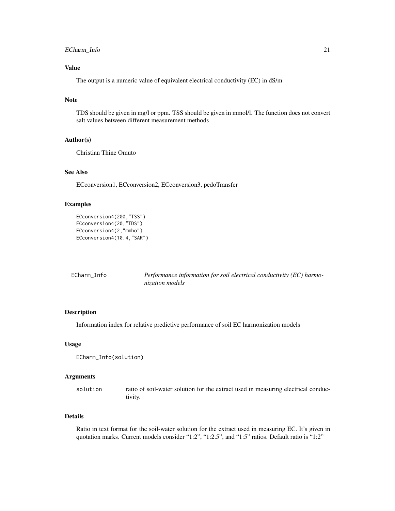## <span id="page-20-0"></span>Value

The output is a numeric value of equivalent electrical conductivity (EC) in dS/m

## Note

TDS should be given in mg/l or ppm. TSS should be given in mmol/l. The function does not convert salt values between different measurement methods

#### Author(s)

Christian Thine Omuto

#### See Also

ECconversion1, ECconversion2, ECconversion3, pedoTransfer

#### Examples

```
ECconversion4(200,"TSS")
ECconversion4(20,"TDS")
ECconversion4(2,"mmho")
ECconversion4(10.4,"SAR")
```

| ECharm Info | Performance information for soil electrical conductivity (EC) harmo- |
|-------------|----------------------------------------------------------------------|
|             | nization models                                                      |

## Description

Information index for relative predictive performance of soil EC harmonization models

## Usage

```
ECharm_Info(solution)
```
#### Arguments

solution ratio of soil-water solution for the extract used in measuring electrical conductivity.

## Details

Ratio in text format for the soil-water solution for the extract used in measuring EC. It's given in quotation marks. Current models consider "1:2", "1:2.5", and "1:5" ratios. Default ratio is "1:2"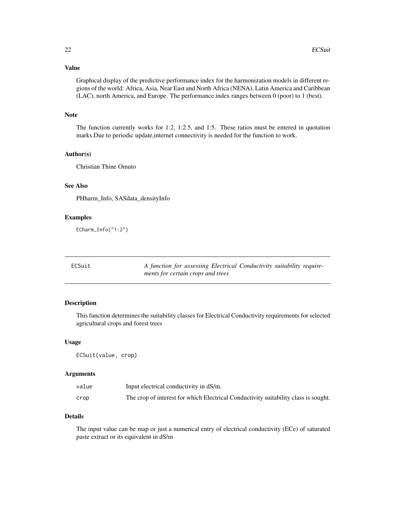## <span id="page-21-0"></span>Value

Graphical display of the predictive performance index for the harmonization models in different regions of the world: Africa, Asia, Near East and North Africa (NENA), Latin America and Caribbean (LAC), north America, and Europe. The performance index ranges between 0 (poor) to 1 (best).

## Note

The function currently works for 1:2, 1:2.5, and 1:5. These ratios must be entered in quotation marks.Due to periodic update,internet connectivity is needed for the function to work.

## Author(s)

Christian Thine Omuto

## See Also

PHharm\_Info, SASdata\_densityInfo

#### Examples

ECharm\_Info("1:2")

| ECSuit | A function for assessing Electrical Conductivity suitability require- |  |
|--------|-----------------------------------------------------------------------|--|
|        | ments for certain crops and trees                                     |  |

## Description

This function determines the suitability classes for Electrical Conductivity requirements for selected agricultural crops and forest trees

#### Usage

ECSuit(value, crop)

#### Arguments

| value | Input electrical conductivity in dS/m.                                              |
|-------|-------------------------------------------------------------------------------------|
| crop  | The crop of interest for which Electrical Conductivity suitability class is sought. |

## Details

The input value can be map or just a numerical entry of electrical conductivity (ECe) of saturated paste extract or its equivalent in dS/m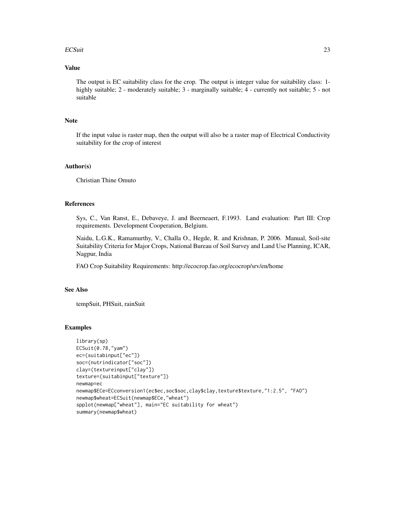#### ECSuit 23

## Value

The output is EC suitability class for the crop. The output is integer value for suitability class: 1 highly suitable; 2 - moderately suitable; 3 - marginally suitable; 4 - currently not suitable; 5 - not suitable

#### Note

If the input value is raster map, then the output will also be a raster map of Electrical Conductivity suitability for the crop of interest

#### Author(s)

Christian Thine Omuto

## References

Sys, C., Van Ranst, E., Debaveye, J. and Beerneaert, F.1993. Land evaluation: Part III: Crop requirements. Development Cooperation, Belgium.

Naidu, L.G.K., Ramamurthy, V., Challa O., Hegde, R. and Krishnan, P. 2006. Manual, Soil-site Suitability Criteria for Major Crops, National Bureau of Soil Survey and Land Use Planning, ICAR, Nagpur, India

FAO Crop Suitability Requirements: http://ecocrop.fao.org/ecocrop/srv/en/home

#### See Also

tempSuit, PHSuit, rainSuit

## Examples

```
library(sp)
ECSuit(0.78,"yam")
ec=(suitabinput["ec"])
soc=(nutrindicator["soc"])
clay=(textureinput["clay"])
texture=(suitabinput["texture"])
newmap=ec
newmap$ECe=ECconversion1(ec$ec,soc$soc,clay$clay,texture$texture,"1:2.5", "FAO")
newmap$wheat=ECSuit(newmap$ECe,"wheat")
spplot(newmap["wheat"], main="EC suitability for wheat")
summary(newmap$wheat)
```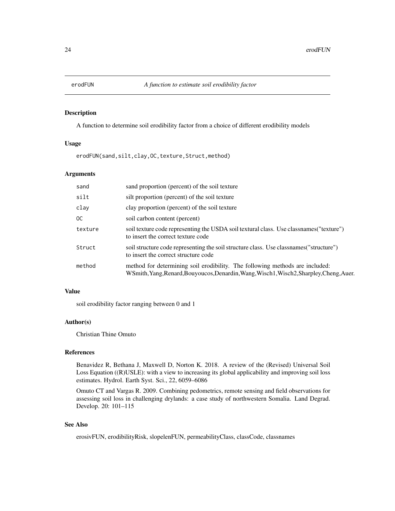<span id="page-23-0"></span>

## Description

A function to determine soil erodibility factor from a choice of different erodibility models

#### Usage

erodFUN(sand,silt,clay, OC, texture, Struct, method)

## Arguments

| sand    | sand proportion (percent) of the soil texture                                                                                                                           |
|---------|-------------------------------------------------------------------------------------------------------------------------------------------------------------------------|
| silt    | silt proportion (percent) of the soil texture                                                                                                                           |
| clay    | clay proportion (percent) of the soil texture                                                                                                                           |
| OC.     | soil carbon content (percent)                                                                                                                                           |
| texture | soil texture code representing the USDA soil textural class. Use class names ("texture")<br>to insert the correct texture code                                          |
| Struct  | soil structure code representing the soil structure class. Use class names ("structure")<br>to insert the correct structure code                                        |
| method  | method for determining soil erodibility. The following methods are included:<br>WSmith, Yang, Renard, Bouyoucos, Denardin, Wang, Wisch1, Wisch2, Sharpley, Cheng, Auer. |

## Value

soil erodibility factor ranging between 0 and 1

#### Author(s)

Christian Thine Omuto

#### References

Benavidez R, Bethana J, Maxwell D, Norton K. 2018. A review of the (Revised) Universal Soil Loss Equation ((R)USLE): with a view to increasing its global applicability and improving soil loss estimates. Hydrol. Earth Syst. Sci., 22, 6059–6086

Omuto CT and Vargas R. 2009. Combining pedometrics, remote sensing and field observations for assessing soil loss in challenging drylands: a case study of northwestern Somalia. Land Degrad. Develop. 20: 101–115

## See Also

erosivFUN, erodibilityRisk, slopelenFUN, permeabilityClass, classCode, classnames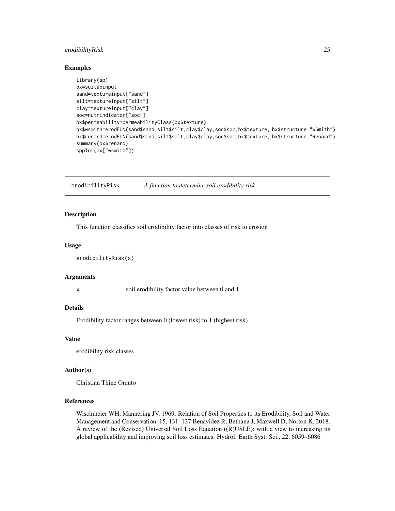## <span id="page-24-0"></span>erodibilityRisk 25

#### Examples

```
library(sp)
bx=suitabinput
sand=textureinput["sand"]
silt=textureinput["silt"]
clay=textureinput["clay"]
soc=nutrindicator["soc"]
bx$permeability=permeabilityClass(bx$texture)
bx$wsmith=erodFUN(sand$sand,silt$silt,clay$clay,soc$soc,bx$texture, bx$structure,"WSmith")
bx$renard=erodFUN(sand$sand,silt$silt,clay$clay,soc$soc,bx$texture, bx$structure,"Renard")
summary(bx$renard)
spplot(bx["wsmith"])
```
erodibilityRisk *A function to determine soil erodibility risk*

#### **Description**

This function classifies soil erodibility factor into classes of risk to erosion

#### Usage

```
erodibilityRisk(x)
```
#### Arguments

x soil erodibility factor value between 0 and 1

#### Details

Erodibility factor ranges between 0 (lowest risk) to 1 (highest risk)

#### Value

erodibility risk classes

#### Author(s)

Christian Thine Omuto

## References

Wischmeier WH, Mannering JV. 1969. Relation of Soil Properties to its Erodibility, Soil and Water Management and Conservation, 15, 131–137 Benavidez R, Bethana J, Maxwell D, Norton K. 2018. A review of the (Revised) Universal Soil Loss Equation ((R)USLE): with a view to increasing its global applicability and improving soil loss estimates. Hydrol. Earth Syst. Sci., 22, 6059–6086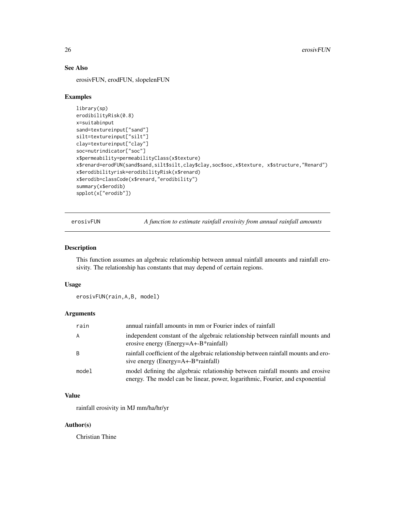## See Also

erosivFUN, erodFUN, slopelenFUN

#### Examples

```
library(sp)
erodibilityRisk(0.8)
x=suitabinput
sand=textureinput["sand"]
silt=textureinput["silt"]
clay=textureinput["clay"]
soc=nutrindicator["soc"]
x$permeability=permeabilityClass(x$texture)
x$renard=erodFUN(sand$sand,silt$silt,clay$clay,soc$soc,x$texture, x$structure,"Renard")
x$erodibilityrisk=erodibilityRisk(x$renard)
x$erodib=classCode(x$renard,"erodibility")
summary(x$erodib)
spplot(x["erodib"])
```
erosivFUN *A function to estimate rainfall erosivity from annual rainfall amounts*

#### Description

This function assumes an algebraic relationship between annual rainfall amounts and rainfall erosivity. The relationship has constants that may depend of certain regions.

#### Usage

erosivFUN(rain,A,B, model)

#### Arguments

| rain  | annual rainfall amounts in mm or Fourier index of rainfall                                                                                                     |
|-------|----------------------------------------------------------------------------------------------------------------------------------------------------------------|
| A     | independent constant of the algebraic relationship between rainfall mounts and<br>erosive energy (Energy= $A$ +- $B^*$ rainfall)                               |
| B     | rainfall coefficient of the algebraic relationship between rainfall mounts and ero-<br>sive energy (Energy=A+-B*rainfall)                                      |
| model | model defining the algebraic relationship between rainfall mounts and erosive<br>energy. The model can be linear, power, logarithmic, Fourier, and exponential |

## Value

rainfall erosivity in MJ mm/ha/hr/yr

## Author(s)

Christian Thine

<span id="page-25-0"></span>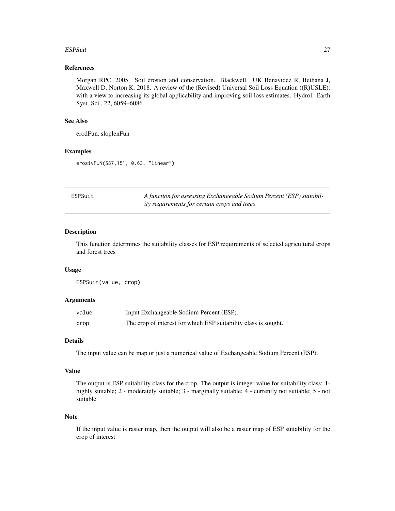#### <span id="page-26-0"></span>ESPSuit 27

## References

Morgan RPC. 2005. Soil erosion and conservation. Blackwell. UK Benavidez R, Bethana J, Maxwell D, Norton K. 2018. A review of the (Revised) Universal Soil Loss Equation ((R)USLE): with a view to increasing its global applicability and improving soil loss estimates. Hydrol. Earth Syst. Sci., 22, 6059–6086

## See Also

erodFun, sloplenFun

## Examples

erosivFUN(587,151, 0.63, "linear")

| ESPSuit | A function for assessing Exchangeable Sodium Percent (ESP) suitabil- |
|---------|----------------------------------------------------------------------|
|         | <i>ity requirements for certain crops and trees</i>                  |

#### Description

This function determines the suitability classes for ESP requirements of selected agricultural crops and forest trees

## Usage

ESPSuit(value, crop)

#### Arguments

| value | Input Exchangeable Sodium Percent (ESP).                        |
|-------|-----------------------------------------------------------------|
| crop  | The crop of interest for which ESP suitability class is sought. |

## Details

The input value can be map or just a numerical value of Exchangeable Sodium Percent (ESP).

#### Value

The output is ESP suitability class for the crop. The output is integer value for suitability class: 1 highly suitable; 2 - moderately suitable; 3 - marginally suitable; 4 - currently not suitable; 5 - not suitable

#### Note

If the input value is raster map, then the output will also be a raster map of ESP suitability for the crop of interest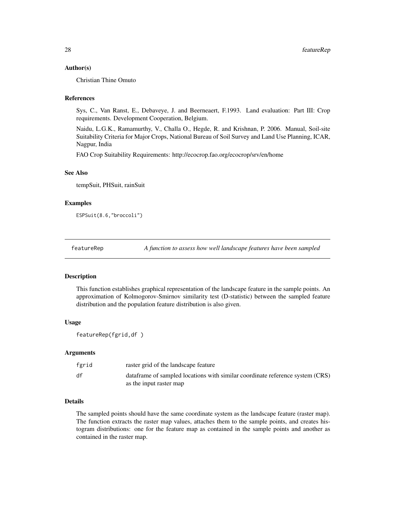#### <span id="page-27-0"></span>Author(s)

Christian Thine Omuto

#### References

Sys, C., Van Ranst, E., Debaveye, J. and Beerneaert, F.1993. Land evaluation: Part III: Crop requirements. Development Cooperation, Belgium.

Naidu, L.G.K., Ramamurthy, V., Challa O., Hegde, R. and Krishnan, P. 2006. Manual, Soil-site Suitability Criteria for Major Crops, National Bureau of Soil Survey and Land Use Planning, ICAR, Nagpur, India

FAO Crop Suitability Requirements: http://ecocrop.fao.org/ecocrop/srv/en/home

#### See Also

tempSuit, PHSuit, rainSuit

#### Examples

ESPSuit(8.6,"broccoli")

featureRep *A function to assess how well landscape features have been sampled*

## **Description**

This function establishes graphical representation of the landscape feature in the sample points. An approximation of Kolmogorov-Smirnov similarity test (D-statistic) between the sampled feature distribution and the population feature distribution is also given.

## Usage

```
featureRep(fgrid,df )
```
#### Arguments

| fgrid | raster grid of the landscape feature                                                                      |
|-------|-----------------------------------------------------------------------------------------------------------|
| df    | data frame of sampled locations with similar coordinate reference system (CRS)<br>as the input raster map |

## Details

The sampled points should have the same coordinate system as the landscape feature (raster map). The function extracts the raster map values, attaches them to the sample points, and creates histogram distributions: one for the feature map as contained in the sample points and another as contained in the raster map.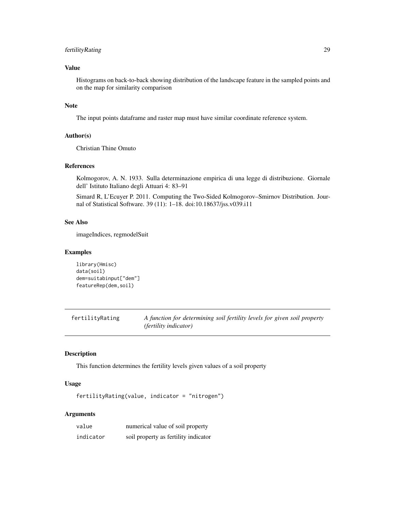## <span id="page-28-0"></span>fertilityRating 29

## Value

Histograms on back-to-back showing distribution of the landscape feature in the sampled points and on the map for similarity comparison

## Note

The input points dataframe and raster map must have similar coordinate reference system.

## Author(s)

Christian Thine Omuto

#### References

Kolmogorov, A. N. 1933. Sulla determinazione empirica di una legge di distribuzione. Giornale dell' Istituto Italiano degli Attuari 4: 83–91

Simard R, L'Ecuyer P. 2011. Computing the Two-Sided Kolmogorov–Smirnov Distribution. Journal of Statistical Software. 39 (11): 1–18. doi:10.18637/jss.v039.i11

## See Also

imageIndices, regmodelSuit

## Examples

```
library(Hmisc)
data(soil)
dem=suitabinput["dem"]
featureRep(dem,soil)
```
fertilityRating *A function for determining soil fertility levels for given soil property (fertility indicator)*

## Description

This function determines the fertility levels given values of a soil property

## Usage

fertilityRating(value, indicator = "nitrogen")

## Arguments

| value     | numerical value of soil property     |
|-----------|--------------------------------------|
| indicator | soil property as fertility indicator |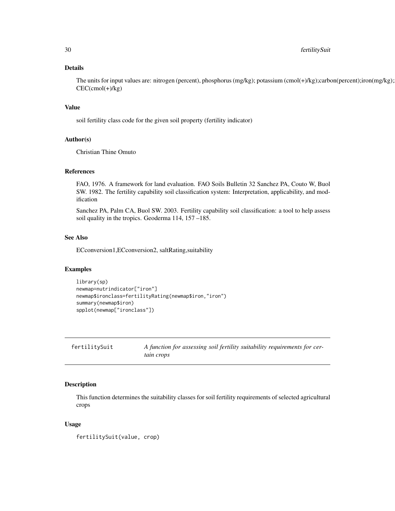## <span id="page-29-0"></span>Details

The units for input values are: nitrogen (percent), phosphorus (mg/kg); potassium (cmol(+)/kg);carbon(percent);iron(mg/kg);  $CEC$ (cmol(+)/kg)

#### Value

soil fertility class code for the given soil property (fertility indicator)

## Author(s)

Christian Thine Omuto

## References

FAO, 1976. A framework for land evaluation. FAO Soils Bulletin 32 Sanchez PA, Couto W, Buol SW. 1982. The fertility capability soil classification system: Interpretation, applicability, and modification

Sanchez PA, Palm CA, Buol SW. 2003. Fertility capability soil classification: a tool to help assess soil quality in the tropics. Geoderma 114, 157 –185.

## See Also

ECconversion1,ECconversion2, saltRating,suitability

## Examples

```
library(sp)
newmap=nutrindicator["iron"]
newmap$ironclass=fertilityRating(newmap$iron,"iron")
summary(newmap$iron)
spplot(newmap["ironclass"])
```
fertilitySuit *A function for assessing soil fertility suitability requirements for certain crops*

#### Description

This function determines the suitability classes for soil fertility requirements of selected agricultural crops

## Usage

fertilitySuit(value, crop)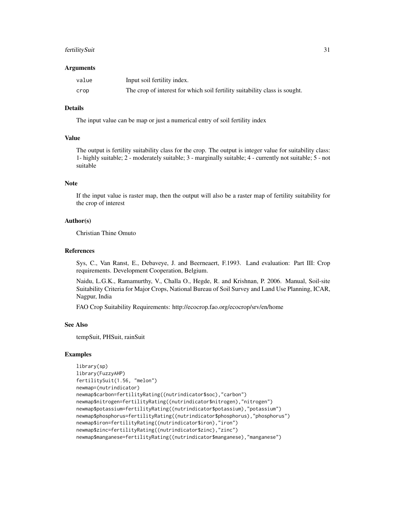#### fertilitySuit 31

#### Arguments

| value | Input soil fertility index.                                                |
|-------|----------------------------------------------------------------------------|
| crop  | The crop of interest for which soil fertility suitability class is sought. |

## Details

The input value can be map or just a numerical entry of soil fertility index

## Value

The output is fertility suitability class for the crop. The output is integer value for suitability class: 1- highly suitable; 2 - moderately suitable; 3 - marginally suitable; 4 - currently not suitable; 5 - not suitable

## Note

If the input value is raster map, then the output will also be a raster map of fertility suitability for the crop of interest

#### Author(s)

Christian Thine Omuto

#### References

Sys, C., Van Ranst, E., Debaveye, J. and Beerneaert, F.1993. Land evaluation: Part III: Crop requirements. Development Cooperation, Belgium.

Naidu, L.G.K., Ramamurthy, V., Challa O., Hegde, R. and Krishnan, P. 2006. Manual, Soil-site Suitability Criteria for Major Crops, National Bureau of Soil Survey and Land Use Planning, ICAR, Nagpur, India

FAO Crop Suitability Requirements: http://ecocrop.fao.org/ecocrop/srv/en/home

#### See Also

tempSuit, PHSuit, rainSuit

## Examples

```
library(sp)
library(FuzzyAHP)
fertilitySuit(1.56, "melon")
newmap=(nutrindicator)
newmap$carbon=fertilityRating((nutrindicator$soc),"carbon")
newmap$nitrogen=fertilityRating((nutrindicator$nitrogen),"nitrogen")
newmap$potassium=fertilityRating((nutrindicator$potassium),"potassium")
newmap$phosphorus=fertilityRating((nutrindicator$phosphorus),"phosphorus")
newmap$iron=fertilityRating((nutrindicator$iron),"iron")
newmap$zinc=fertilityRating((nutrindicator$zinc),"zinc")
newmap$manganese=fertilityRating((nutrindicator$manganese),"manganese")
```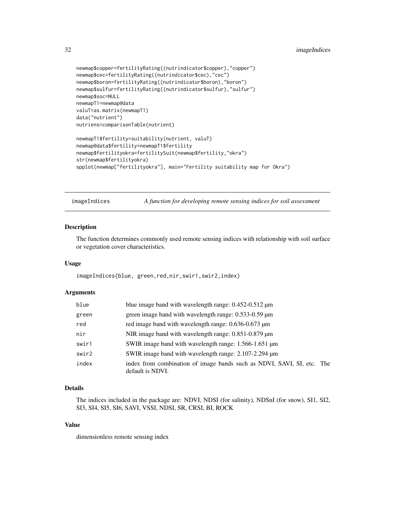```
newmap$copper=fertilityRating((nutrindicator$copper),"copper")
newmap$cec=fertilityRating((nutrindicator$cec),"cec")
newmap$boron=fertilityRating((nutrindicator$boron),"boron")
newmap$sulfur=fertilityRating((nutrindicator$sulfur),"sulfur")
newmap$soc=NULL
newmapT1=newmap@data
valuT=as.matrix(newmapT1)
data("nutrient")
nutriens=comparisonTable(nutrient)
newmapT1$fertility=suitability(nutrient, valuT)
newmap@data$fertility=newmapT1$fertility
newmap$fertilityokra=fertilitySuit(newmap$fertility,"okra")
str(newmap$fertilityokra)
spplot(newmap["fertilityokra"], main="Fertility suitability map for Okra")
```
imageIndices *A function for developing remote sensing indices for soil assessment*

## Description

The function determines commonly used remote sensing indices with relationship with soil surface or vegetation cover characteristics.

#### Usage

imageIndices(blue, green,red,nir,swir1,swir2,index)

#### Arguments

| blue  | blue image band with wavelength range: $0.452 - 0.512 \mu m$                               |
|-------|--------------------------------------------------------------------------------------------|
| green | green image band with wavelength range: 0.533-0.59 µm                                      |
| red   | red image band with wavelength range: 0.636-0.673 µm                                       |
| nir   | NIR image band with wavelength range: $0.851 - 0.879 \mu m$                                |
| swir1 | SWIR image band with wavelength range: 1.566-1.651 µm                                      |
| swir2 | SWIR image band with wavelength range: 2.107-2.294 um                                      |
| index | index from combination of image bands such as NDVI, SAVI, SI, etc. The<br>default is NDVI. |

## Details

The indices included in the package are: NDVI, NDSI (for salinity), NDSnI (for snow), SI1, SI2, SI3, SI4, SI5, SI6, SAVI, VSSI, NDSI, SR, CRSI, BI, ROCK

## Value

dimensionless remote sensing index

<span id="page-31-0"></span>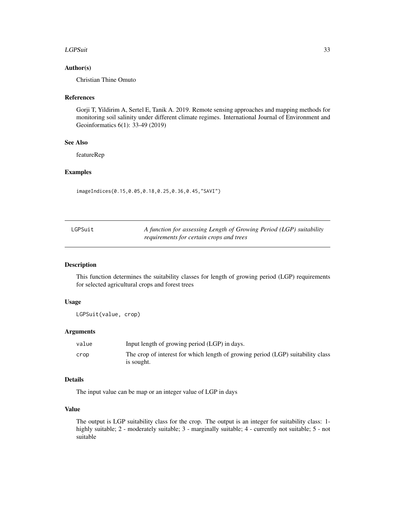#### <span id="page-32-0"></span>LGPSuit 33

## Author(s)

Christian Thine Omuto

## References

Gorji T, Yildirim A, Sertel E, Tanik A. 2019. Remote sensing approaches and mapping methods for monitoring soil salinity under different climate regimes. International Journal of Environment and Geoinformatics 6(1): 33-49 (2019)

## See Also

featureRep

#### Examples

imageIndices(0.15,0.05,0.18,0.25,0.36,0.45,"SAVI")

| LGPSuit | A function for assessing Length of Growing Period (LGP) suitability |
|---------|---------------------------------------------------------------------|
|         | requirements for certain crops and trees                            |

## Description

This function determines the suitability classes for length of growing period (LGP) requirements for selected agricultural crops and forest trees

## Usage

LGPSuit(value, crop)

#### Arguments

| value | Input length of growing period (LGP) in days.                                                 |
|-------|-----------------------------------------------------------------------------------------------|
| crop  | The crop of interest for which length of growing period (LGP) suitability class<br>is sought. |

## Details

The input value can be map or an integer value of LGP in days

#### Value

The output is LGP suitability class for the crop. The output is an integer for suitability class: 1 highly suitable; 2 - moderately suitable; 3 - marginally suitable; 4 - currently not suitable; 5 - not suitable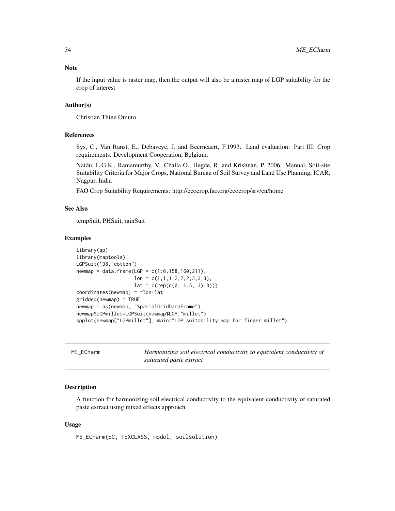## <span id="page-33-0"></span>Note

If the input value is raster map, then the output will also be a raster map of LGP suitability for the crop of interest

## Author(s)

Christian Thine Omuto

## References

Sys, C., Van Ranst, E., Debaveye, J. and Beerneaert, F.1993. Land evaluation: Part III: Crop requirements. Development Cooperation, Belgium.

Naidu, L.G.K., Ramamurthy, V., Challa O., Hegde, R. and Krishnan, P. 2006. Manual, Soil-site Suitability Criteria for Major Crops, National Bureau of Soil Survey and Land Use Planning, ICAR, Nagpur, India

FAO Crop Suitability Requirements: http://ecocrop.fao.org/ecocrop/srv/en/home

#### See Also

tempSuit, PHSuit, rainSuit

#### Examples

```
library(sp)
library(maptools)
LGPSuit(138,"cotton")
newmap = data.frame(LGP = c(1:6, 158, 160, 211),lon = c(1,1,1,2,2,2,3,3,3),lat = c(rep(c(0, 1.5, 3),3)))coordinates(newmap) = ~lon+lat
gridded(newmap) = TRUE
newmap = as(newmap, "SpatialGridDataFrame")
newmap$LGPmillet=LGPSuit(newmap$LGP,"millet")
spplot(newmap["LGPmillet"], main="LGP suitability map for finger millet")
```

| ME ECharm | Harmonizing soil electrical conductivity to equivalent conductivity of |
|-----------|------------------------------------------------------------------------|
|           | saturated paste extract                                                |

## Description

A function for harmonizing soil electrical conductivity to the equivalent conductivity of saturated paste extract using mixed effects approach

#### Usage

ME\_ECharm(EC, TEXCLASS, model, soilsolution)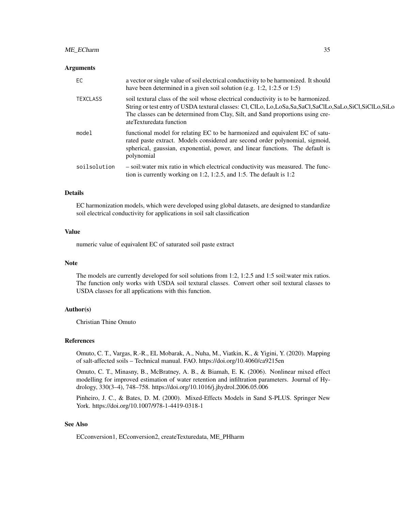### Arguments

| EC              | a vector or single value of soil electrical conductivity to be harmonized. It should<br>have been determined in a given soil solution (e.g. 1:2, 1:2.5 or 1:5)                                                                                                                                                   |
|-----------------|------------------------------------------------------------------------------------------------------------------------------------------------------------------------------------------------------------------------------------------------------------------------------------------------------------------|
| <b>TEXCLASS</b> | soil textural class of the soil whose electrical conductivity is to be harmonized.<br>String or test entry of USDA textural classes: Cl, ClLo, Lo, LoSa, Sa, SaCl, SaClLo, SaLo, SiCl, SiClLo, SiLo<br>The classes can be determined from Clay, Silt, and Sand proportions using cre-<br>ateTexturedata function |
| model           | functional model for relating EC to be harmonized and equivalent EC of satu-<br>rated paste extract. Models considered are second order polynomial, sigmoid,<br>spherical, gaussian, exponential, power, and linear functions. The default is<br>polynomial                                                      |
| soilsolution    | - soil: water mix ratio in which electrical conductivity was measured. The func-<br>tion is currently working on 1:2, 1:2.5, and 1:5. The default is $1:2$                                                                                                                                                       |

## Details

EC harmonization models, which were developed using global datasets, are designed to standardize soil electrical conductivity for applications in soil salt classification

## Value

numeric value of equivalent EC of saturated soil paste extract

## Note

The models are currently developed for soil solutions from 1:2, 1:2.5 and 1:5 soil:water mix ratios. The function only works with USDA soil textural classes. Convert other soil textural classes to USDA classes for all applications with this function.

## Author(s)

Christian Thine Omuto

#### References

Omuto, C. T., Vargas, R.-R., EL Mobarak, A., Nuha, M., Viatkin, K., & Yigini, Y. (2020). Mapping of salt-affected soils – Technical manual. FAO. https://doi.org/10.4060/ca9215en

Omuto, C. T., Minasny, B., McBratney, A. B., & Biamah, E. K. (2006). Nonlinear mixed effect modelling for improved estimation of water retention and infiltration parameters. Journal of Hydrology, 330(3–4), 748–758. https://doi.org/10.1016/j.jhydrol.2006.05.006

Pinheiro, J. C., & Bates, D. M. (2000). Mixed-Effects Models in Sand S-PLUS. Springer New York. https://doi.org/10.1007/978-1-4419-0318-1

## See Also

ECconversion1, ECconversion2, createTexturedata, ME\_PHharm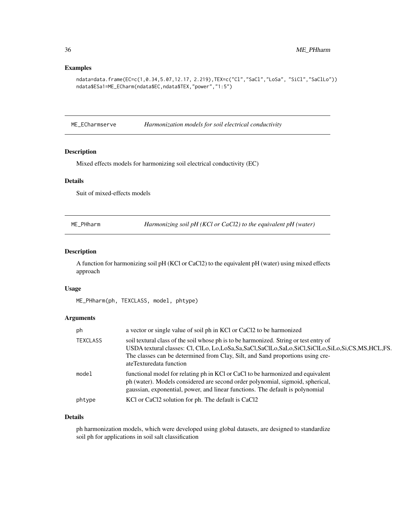## <span id="page-35-0"></span>Examples

```
ndata=data.frame(EC=c(1,0.34,5.07,12.17, 2.219),TEX=c("Cl","SaCl","LoSa", "SiCl","SaClLo"))
ndata$ESa1=ME_ECharm(ndata$EC,ndata$TEX,"power","1:5")
```
ME\_ECharmserve *Harmonization models for soil electrical conductivity*

#### Description

Mixed effects models for harmonizing soil electrical conductivity (EC)

## Details

Suit of mixed-effects models

|  | ME_PHharm |  |
|--|-----------|--|
|--|-----------|--|

Harmonizing soil pH (KCl or CaCl2) to the equivalent pH (water)

## Description

A function for harmonizing soil pH (KCl or CaCl2) to the equivalent pH (water) using mixed effects approach

#### Usage

ME\_PHharm(ph, TEXCLASS, model, phtype)

## Arguments

| ph              | a vector or single value of soil ph in KCl or CaCl2 to be harmonized                                                                                                                                                                                                                                              |
|-----------------|-------------------------------------------------------------------------------------------------------------------------------------------------------------------------------------------------------------------------------------------------------------------------------------------------------------------|
| <b>TEXCLASS</b> | soil textural class of the soil whose ph is to be harmonized. String or test entry of<br>USDA textural classes: Cl, ClLo, Lo, LoSa, Sa, SaCl, SaClLo, SaLo, SiCl, SiClLo, SiLo, Si, CS, MS, HCL, FS.<br>The classes can be determined from Clay, Silt, and Sand proportions using cre-<br>ateTexturedata function |
| model           | functional model for relating ph in KCl or CaCl to be harmonized and equivalent<br>ph (water). Models considered are second order polynomial, sigmoid, spherical,<br>gaussian, exponential, power, and linear functions. The default is polynomial                                                                |
| phtype          | KCl or CaCl2 solution for ph. The default is CaCl2                                                                                                                                                                                                                                                                |

#### Details

ph harmonization models, which were developed using global datasets, are designed to standardize soil ph for applications in soil salt classification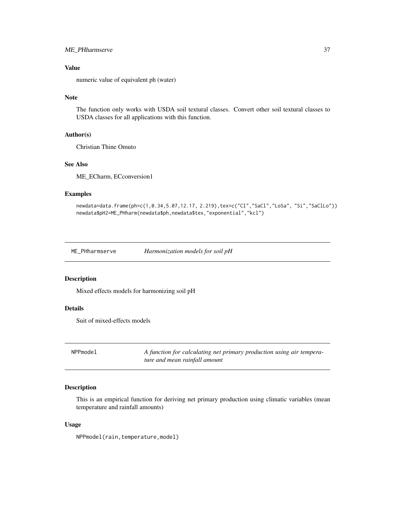# ME\_PHharmserve 37

# Value

numeric value of equivalent ph (water)

# Note

The function only works with USDA soil textural classes. Convert other soil textural classes to USDA classes for all applications with this function.

# Author(s)

Christian Thine Omuto

# See Also

ME\_ECharm, ECconversion1

## Examples

newdata=data.frame(ph=c(1,0.34,5.07,12.17, 2.219),tex=c("Cl","SaCl","LoSa", "Si","SaClLo")) newdata\$pH2=ME\_PHharm(newdata\$ph,newdata\$tex,"exponential","kcl")

ME\_PHharmserve *Harmonization models for soil pH*

#### Description

Mixed effects models for harmonizing soil pH

## Details

Suit of mixed-effects models

NPPmodel *A function for calculating net primary production using air temperature and mean rainfall amount*

## Description

This is an empirical function for deriving net primary production using climatic variables (mean temperature and rainfall amounts)

## Usage

NPPmodel(rain,temperature,model)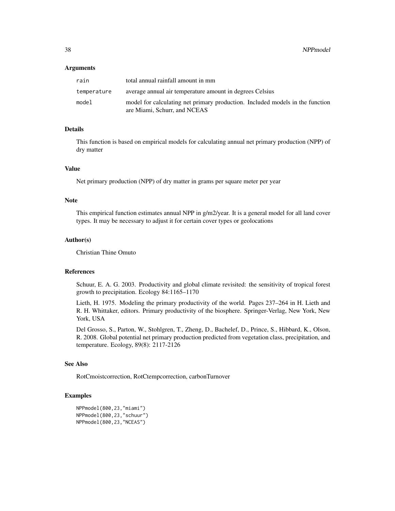### Arguments

| rain        | total annual rainfall amount in mm                                                                            |
|-------------|---------------------------------------------------------------------------------------------------------------|
| temperature | average annual air temperature amount in degrees Celsius                                                      |
| model       | model for calculating net primary production. Included models in the function<br>are Miami, Schurr, and NCEAS |

# Details

This function is based on empirical models for calculating annual net primary production (NPP) of dry matter

## Value

Net primary production (NPP) of dry matter in grams per square meter per year

#### Note

This empirical function estimates annual NPP in g/m2/year. It is a general model for all land cover types. It may be necessary to adjust it for certain cover types or geolocations

#### Author(s)

Christian Thine Omuto

# References

Schuur, E. A. G. 2003. Productivity and global climate revisited: the sensitivity of tropical forest growth to precipitation. Ecology 84:1165–1170

Lieth, H. 1975. Modeling the primary productivity of the world. Pages 237–264 in H. Lieth and R. H. Whittaker, editors. Primary productivity of the biosphere. Springer-Verlag, New York, New York, USA

Del Grosso, S., Parton, W., Stohlgren, T., Zheng, D., Bachelef, D., Prince, S., Hibbard, K., Olson, R. 2008. Global potential net primary production predicted from vegetation class, precipitation, and temperature. Ecology, 89(8): 2117-2126

#### See Also

RotCmoistcorrection, RotCtempcorrection, carbonTurnover

## Examples

```
NPPmodel(800,23,"miami")
NPPmodel(800,23,"schuur")
NPPmodel(800,23,"NCEAS")
```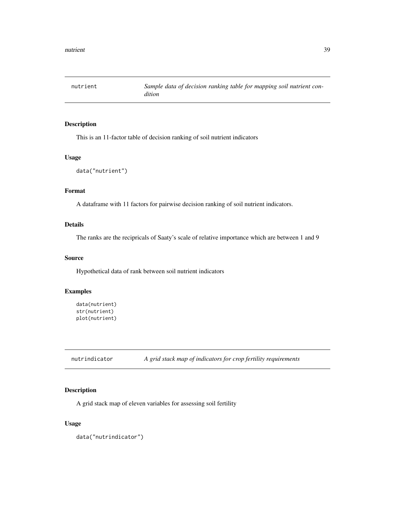# Description

This is an 11-factor table of decision ranking of soil nutrient indicators

# Usage

```
data("nutrient")
```
## Format

A dataframe with 11 factors for pairwise decision ranking of soil nutrient indicators.

# Details

The ranks are the recipricals of Saaty's scale of relative importance which are between 1 and 9

## Source

Hypothetical data of rank between soil nutrient indicators

# Examples

```
data(nutrient)
str(nutrient)
plot(nutrient)
```
nutrindicator *A grid stack map of indicators for crop fertility requirements*

# Description

A grid stack map of eleven variables for assessing soil fertility

#### Usage

data("nutrindicator")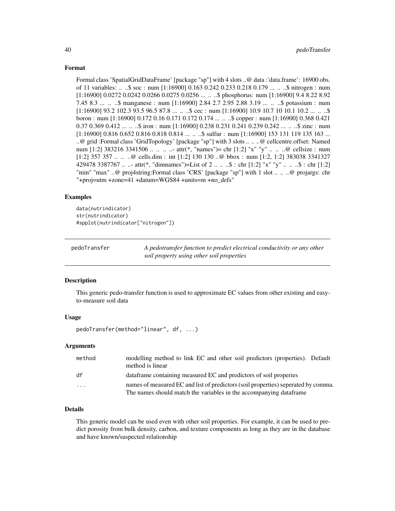## Format

Formal class 'SpatialGridDataFrame' [package "sp"] with 4 slots ..@ data :'data.frame': 16900 obs. of 11 variables: .. ..\$ soc : num [1:16900] 0.163 0.242 0.233 0.218 0.179 ... .. ..\$ nitrogen : num [1:16900] 0.0272 0.0242 0.0266 0.0275 0.0256 ... .. \$ phosphorus: num [1:16900] 9.4 8.22 8.92 7.45 8.3 ... .. ..\$ manganese : num [1:16900] 2.84 2.7 2.95 2.88 3.19 ... .. ..\$ potassium : num  $[1:16900]$  93.2 102.3 93.5 96.5 87.8 ...  $\ldots$   $\ldots$ \$ cec : num  $[1:16900]$  10.9 10.7 10 10.1 10.2  $\ldots$   $\ldots$   $\ldots$ \$ boron : num [1:16900] 0.172 0.16 0.171 0.172 0.174 ... .. ..\$ copper : num [1:16900] 0.368 0.421 0.37 0.369 0.412 ... .. ..\$ iron : num [1:16900] 0.238 0.231 0.241 0.239 0.242 ... .. ..\$ zinc : num [1:16900] 0.816 0.652 0.816 0.818 0.814 ... .. ..\$ sulfur : num [1:16900] 153 131 119 135 163 ... ..@ grid :Formal class 'GridTopology' [package "sp"] with 3 slots .. .. ..@ cellcentre.offset: Named num [1:2] 383216 3341506 .. .. .. ... attr(\*, "names")= chr [1:2] "x" "y" .. .. ..@ cellsize : num [1:2] 357 357 .. .. ..@ cells.dim : int [1:2] 130 130 ..@ bbox : num [1:2, 1:2] 383038 3341327 429478 3387767 .. ..- attr(\*, "dimnames")=List of 2 .. .. ..\$ : chr [1:2] "x" "y" .. .. ..\$ : chr [1:2] "min" "max" ..@ proj4string:Formal class 'CRS' [package "sp"] with 1 slot .. .. ..@ projargs: chr "+proj=utm +zone=41 +datum=WGS84 +units=m +no\_defs"

## Examples

data(nutrindicator) str(nutrindicator) #spplot(nutrindicator["nitrogen"])

pedoTransfer *A pedotransfer function to predict electrical conductivity or any other soil property using other soil properties*

## Description

This generic pedo-transfer function is used to approximate EC values from other existing and easyto-measure soil data

## Usage

pedoTransfer(method="linear", df, ...)

## Arguments

| method | modelling method to link EC and other soil predictors (properties). Default<br>method is linear |
|--------|-------------------------------------------------------------------------------------------------|
| df     | data frame containing measured EC and predictors of soil properies                              |
| .      | names of measured EC and list of predictors (soil properties) seperated by comma.               |
|        | The names should match the variables in the accompanying dataframe                              |

## Details

This generic model can be used even with other soil properties. For example, it can be used to predict porosity from bulk density, carbon, and texture components as long as they are in the database and have known/suspected relationship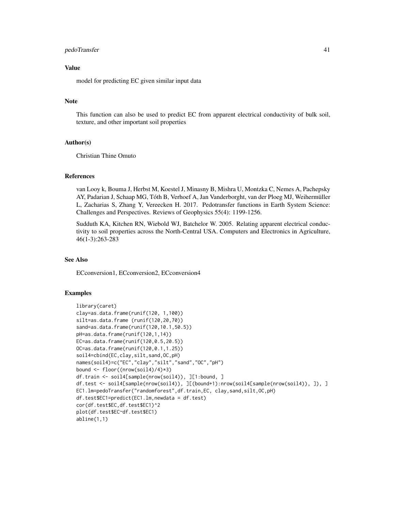## pedoTransfer 41

# Value

model for predicting EC given similar input data

## Note

This function can also be used to predict EC from apparent electrical conductivity of bulk soil, texture, and other important soil properties

## Author(s)

Christian Thine Omuto

## References

van Looy k, Bouma J, Herbst M, Koestel J, Minasny B, Mishra U, Montzka C, Nemes A, Pachepsky AY, Padarian J, Schaap MG, Tóth B, Verhoef A, Jan Vanderborght, van der Ploeg MJ, Weihermüller L, Zacharias S, Zhang Y, Vereecken H. 2017. Pedotransfer functions in Earth System Science: Challenges and Perspectives. Reviews of Geophysics 55(4): 1199-1256.

Sudduth KA, Kitchen RN, Wiebold WJ, Batchelor W. 2005. Relating apparent electrical conductivity to soil properties across the North-Central USA. Computers and Electronics in Agriculture, 46(1-3):263-283

## See Also

ECconversion1, ECconversion2, ECconversion4

## Examples

```
library(caret)
clay=as.data.frame(runif(120, 1,100))
silt=as.data.frame (runif(120,20,70))
sand=as.data.frame(runif(120,10.1,50.5))
pH=as.data.frame(runif(120,1,14))
EC=as.data.frame(runif(120,0.5,20.5))
OC=as.data.frame(runif(120,0.1,1.25))
soil4=cbind(EC,clay,silt,sand,OC,pH)
names(soil4)=c("EC","clay","silt","sand","OC","pH")
bound <- floor((nrow(soil4)/4)*3)
df.train <- soil4[sample(nrow(soil4)), ][1:bound, ]
df.test <- soil4[sample(nrow(soil4)), ][(bound+1):nrow(soil4[sample(nrow(soil4)), ]), ]
EC1.lm=pedoTransfer("randomforest",df.train,EC, clay,sand,silt,OC,pH)
df.test$EC1=predict(EC1.lm,newdata = df.test)
cor(df.test$EC,df.test$EC1)^2
plot(df.test$EC~df.test$EC1)
abline(1,1)
```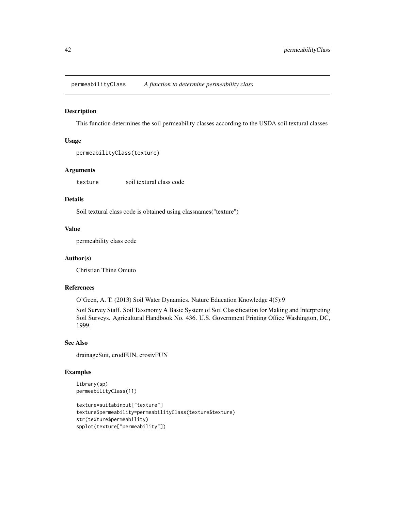permeabilityClass *A function to determine permeability class*

#### Description

This function determines the soil permeability classes according to the USDA soil textural classes

## Usage

```
permeabilityClass(texture)
```
# Arguments

texture soil textural class code

# Details

Soil textural class code is obtained using classnames("texture")

#### Value

permeability class code

## Author(s)

Christian Thine Omuto

## References

O'Geen, A. T. (2013) Soil Water Dynamics. Nature Education Knowledge 4(5):9

Soil Survey Staff. Soil Taxonomy A Basic System of Soil Classification for Making and Interpreting Soil Surveys. Agricultural Handbook No. 436. U.S. Government Printing Office Washington, DC, 1999.

# See Also

drainageSuit, erodFUN, erosivFUN

# Examples

```
library(sp)
permeabilityClass(11)
texture=suitabinput["texture"]
texture$permeability=permeabilityClass(texture$texture)
str(texture$permeability)
spplot(texture["permeability"])
```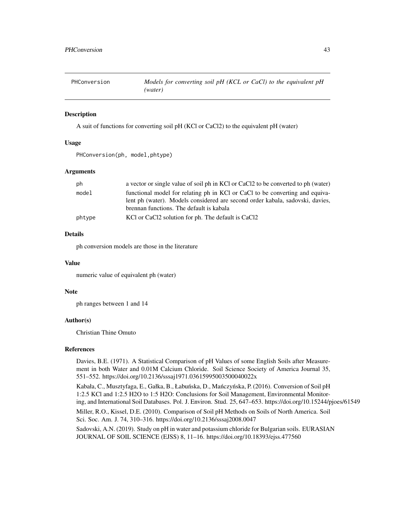PHConversion *Models for converting soil pH (KCL or CaCl) to the equivalent pH (water)*

## Description

A suit of functions for converting soil pH (KCl or CaCl2) to the equivalent pH (water)

## Usage

```
PHConversion(ph, model,phtype)
```
## Arguments

| ph     | a vector or single value of soil ph in KCl or CaCl2 to be converted to ph (water) |
|--------|-----------------------------------------------------------------------------------|
| model  | functional model for relating ph in KCl or CaCl to be converting and equiva-      |
|        | lent ph (water). Models considered are second order kabala, sadovski, davies,     |
|        | brennan functions. The default is kabala                                          |
| phtype | KCl or CaCl2 solution for ph. The default is CaCl2                                |

# Details

ph conversion models are those in the literature

# Value

numeric value of equivalent ph (water)

# Note

ph ranges between 1 and 14

## Author(s)

Christian Thine Omuto

#### References

Davies, B.E. (1971). A Statistical Comparison of pH Values of some English Soils after Measurement in both Water and 0.01M Calcium Chloride. Soil Science Society of America Journal 35, 551–552. https://doi.org/10.2136/sssaj1971.03615995003500040022x

Kabała, C., Musztyfaga, E., Gałka, B., Łabuńska, D., Mańczyńska, P. (2016). Conversion of Soil pH 1:2.5 KCl and 1:2.5 H2O to 1:5 H2O: Conclusions for Soil Management, Environmental Monitoring, and International Soil Databases. Pol. J. Environ. Stud. 25, 647–653. https://doi.org/10.15244/pjoes/61549

Miller, R.O., Kissel, D.E. (2010). Comparison of Soil pH Methods on Soils of North America. Soil Sci. Soc. Am. J. 74, 310–316. https://doi.org/10.2136/sssaj2008.0047

Sadovski, A.N. (2019). Study on pH in water and potassium chloride for Bulgarian soils. EURASIAN JOURNAL OF SOIL SCIENCE (EJSS) 8, 11–16. https://doi.org/10.18393/ejss.477560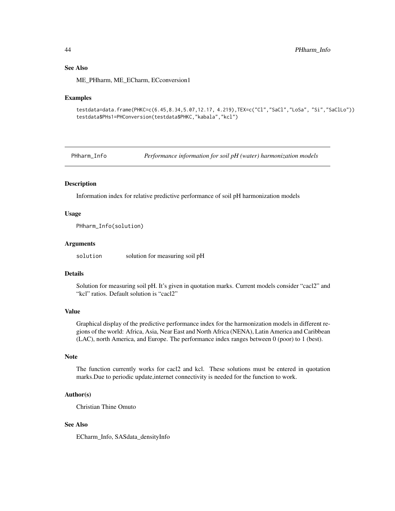## See Also

ME\_PHharm, ME\_ECharm, ECconversion1

#### Examples

```
testdata=data.frame(PHKC=c(6.45,8.34,5.07,12.17, 4.219),TEX=c("Cl","SaCl","LoSa", "Si","SaClLo"))
testdata$PHs1=PHConversion(testdata$PHKC,"kabala","kcl")
```
PHharm\_Info *Performance information for soil pH (water) harmonization models*

## **Description**

Information index for relative predictive performance of soil pH harmonization models

## Usage

PHharm\_Info(solution)

## Arguments

solution solution solution for measuring soil pH

# Details

Solution for measuring soil pH. It's given in quotation marks. Current models consider "cacl2" and "kcl" ratios. Default solution is "cacl2"

## Value

Graphical display of the predictive performance index for the harmonization models in different regions of the world: Africa, Asia, Near East and North Africa (NENA), Latin America and Caribbean (LAC), north America, and Europe. The performance index ranges between 0 (poor) to 1 (best).

#### Note

The function currently works for cacl2 and kcl. These solutions must be entered in quotation marks.Due to periodic update,internet connectivity is needed for the function to work.

## Author(s)

Christian Thine Omuto

## See Also

ECharm\_Info, SASdata\_densityInfo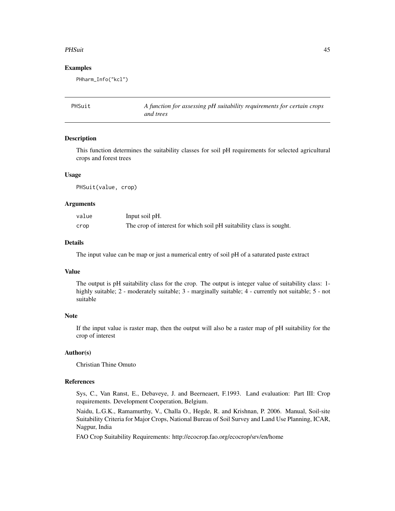#### PHSuit 25 and 25 and 26 and 26 and 26 and 26 and 26 and 26 and 26 and 26 and 26 and 26 and 26 and 26 and 26 and 26 and 26 and 26 and 26 and 26 and 26 and 26 and 26 and 26 and 26 and 26 and 26 and 26 and 26 and 26 and 26 an

### Examples

PHharm\_Info("kcl")

PHSuit *A function for assessing pH suitability requirements for certain crops and trees*

# Description

This function determines the suitability classes for soil pH requirements for selected agricultural crops and forest trees

#### Usage

PHSuit(value, crop)

## **Arguments**

| value | Input soil pH.                                                      |
|-------|---------------------------------------------------------------------|
| crop  | The crop of interest for which soil pH suitability class is sought. |

## Details

The input value can be map or just a numerical entry of soil pH of a saturated paste extract

## Value

The output is pH suitability class for the crop. The output is integer value of suitability class: 1 highly suitable; 2 - moderately suitable; 3 - marginally suitable; 4 - currently not suitable; 5 - not suitable

# Note

If the input value is raster map, then the output will also be a raster map of pH suitability for the crop of interest

## Author(s)

Christian Thine Omuto

## References

Sys, C., Van Ranst, E., Debaveye, J. and Beerneaert, F.1993. Land evaluation: Part III: Crop requirements. Development Cooperation, Belgium.

Naidu, L.G.K., Ramamurthy, V., Challa O., Hegde, R. and Krishnan, P. 2006. Manual, Soil-site Suitability Criteria for Major Crops, National Bureau of Soil Survey and Land Use Planning, ICAR, Nagpur, India

FAO Crop Suitability Requirements: http://ecocrop.fao.org/ecocrop/srv/en/home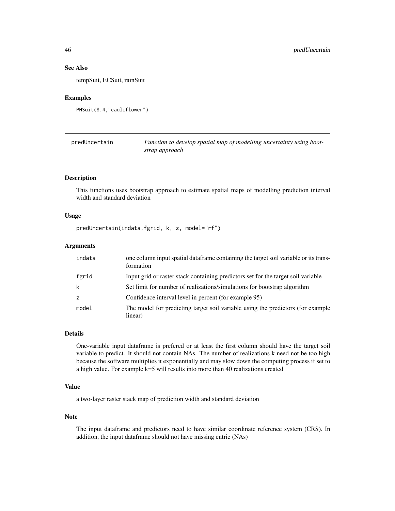# See Also

tempSuit, ECSuit, rainSuit

## Examples

```
PHSuit(8.4,"cauliflower")
```

| predUncertain | Function to develop spatial map of modelling uncertainty using boot- |
|---------------|----------------------------------------------------------------------|
|               | strap approach                                                       |

# Description

This functions uses bootstrap approach to estimate spatial maps of modelling prediction interval width and standard deviation

## Usage

```
predUncertain(indata,fgrid, k, z, model="rf")
```
## Arguments

| indata         | one column input spatial dataframe containing the target soil variable or its trans-<br>formation |
|----------------|---------------------------------------------------------------------------------------------------|
| fgrid          | Input grid or raster stack containing predictors set for the target soil variable                 |
| k              | Set limit for number of realizations/simulations for bootstrap algorithm                          |
| $\overline{z}$ | Confidence interval level in percent (for example 95)                                             |
| model          | The model for predicting target soil variable using the predictors (for example<br>linear)        |

#### Details

One-variable input dataframe is prefered or at least the first column should have the target soil variable to predict. It should not contain NAs. The number of realizations k need not be too high because the software multiplies it exponentially and may slow down the computing process if set to a high value. For example k=5 will results into more than 40 realizations created

# Value

a two-layer raster stack map of prediction width and standard deviation

#### Note

The input dataframe and predictors need to have similar coordinate reference system (CRS). In addition, the input dataframe should not have missing entrie (NAs)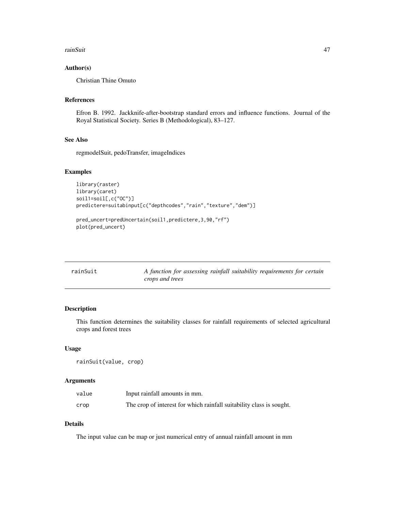#### rainSuit 47

## Author(s)

Christian Thine Omuto

# References

Efron B. 1992. Jackknife-after-bootstrap standard errors and influence functions. Journal of the Royal Statistical Society. Series B (Methodological), 83–127.

## See Also

regmodelSuit, pedoTransfer, imageIndices

#### Examples

```
library(raster)
library(caret)
soil1=soil[,c("OC")]
predictere=suitabinput[c("depthcodes","rain","texture","dem")]
```

```
pred_uncert=predUncertain(soil1,predictere,3,90,"rf")
plot(pred_uncert)
```

| rainSuit | A function for assessing rainfall suitability requirements for certain |
|----------|------------------------------------------------------------------------|
|          | crops and trees                                                        |

# Description

This function determines the suitability classes for rainfall requirements of selected agricultural crops and forest trees

#### Usage

rainSuit(value, crop)

## Arguments

| value | Input rainfall amounts in mm.                                        |
|-------|----------------------------------------------------------------------|
| crop  | The crop of interest for which rainfall suitability class is sought. |

## Details

The input value can be map or just numerical entry of annual rainfall amount in mm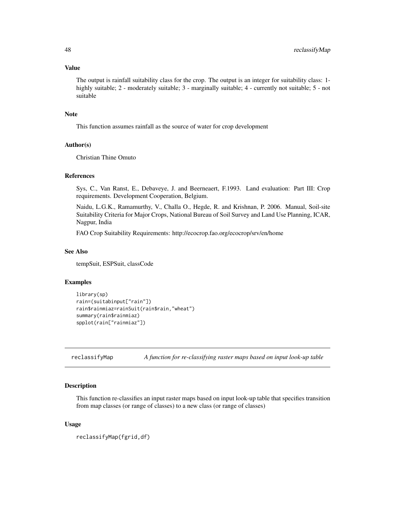## Value

The output is rainfall suitability class for the crop. The output is an integer for suitability class: 1 highly suitable; 2 - moderately suitable; 3 - marginally suitable; 4 - currently not suitable; 5 - not suitable

## **Note**

This function assumes rainfall as the source of water for crop development

# Author(s)

Christian Thine Omuto

## References

Sys, C., Van Ranst, E., Debaveye, J. and Beerneaert, F.1993. Land evaluation: Part III: Crop requirements. Development Cooperation, Belgium.

Naidu, L.G.K., Ramamurthy, V., Challa O., Hegde, R. and Krishnan, P. 2006. Manual, Soil-site Suitability Criteria for Major Crops, National Bureau of Soil Survey and Land Use Planning, ICAR, Nagpur, India

FAO Crop Suitability Requirements: http://ecocrop.fao.org/ecocrop/srv/en/home

# See Also

tempSuit, ESPSuit, classCode

#### Examples

```
library(sp)
rain=(suitabinput["rain"])
rain$rainmiaz=rainSuit(rain$rain,"wheat")
summary(rain$rainmiaz)
spplot(rain["rainmiaz"])
```
reclassifyMap *A function for re-classifying raster maps based on input look-up table*

# Description

This function re-classifies an input raster maps based on input look-up table that specifies transition from map classes (or range of classes) to a new class (or range of classes)

## Usage

```
reclassifyMap(fgrid,df)
```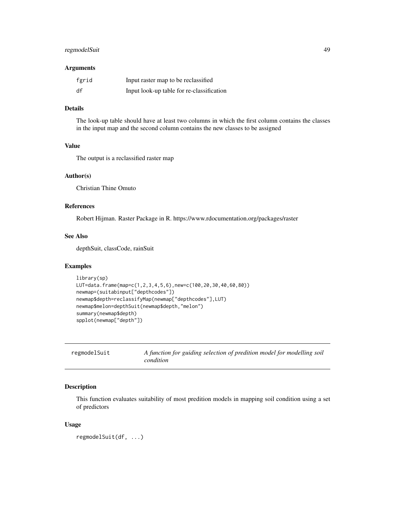# regmodelSuit 49

#### Arguments

| fgrid | Input raster map to be reclassified       |
|-------|-------------------------------------------|
| df    | Input look-up table for re-classification |

# Details

The look-up table should have at least two columns in which the first column contains the classes in the input map and the second column contains the new classes to be assigned

# Value

The output is a reclassified raster map

## Author(s)

Christian Thine Omuto

# References

Robert Hijman. Raster Package in R. https://www.rdocumentation.org/packages/raster

## See Also

depthSuit, classCode, rainSuit

# Examples

```
library(sp)
LUT=data.frame(map=c(1,2,3,4,5,6),new=c(100,20,30,40,60,80))
newmap=(suitabinput["depthcodes"])
newmap$depth=reclassifyMap(newmap["depthcodes"],LUT)
newmap$melon=depthSuit(newmap$depth,"melon")
summary(newmap$depth)
spplot(newmap["depth"])
```

| regmodelSuit | A function for guiding selection of predition model for modelling soil |
|--------------|------------------------------------------------------------------------|
|              | condition                                                              |

# Description

This function evaluates suitability of most predition models in mapping soil condition using a set of predictors

## Usage

```
regmodelSuit(df, ...)
```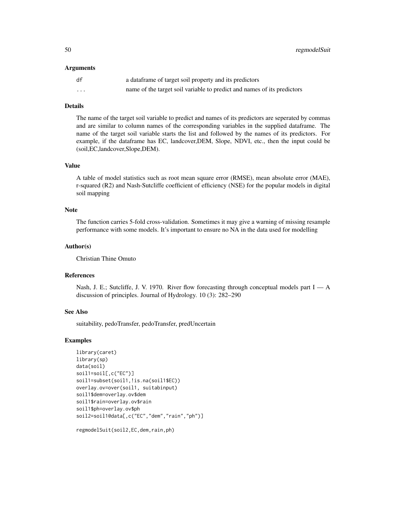#### Arguments

| df      | a data frame of target soil property and its predictors                 |
|---------|-------------------------------------------------------------------------|
| $\cdot$ | name of the target soil variable to predict and names of its predictors |

## Details

The name of the target soil variable to predict and names of its predictors are seperated by commas and are similar to column names of the corresponding variables in the supplied dataframe. The name of the target soil variable starts the list and followed by the names of its predictors. For example, if the dataframe has EC, landcover,DEM, Slope, NDVI, etc., then the input could be (soil,EC,landcover,Slope,DEM).

## Value

A table of model statistics such as root mean square error (RMSE), mean absolute error (MAE), r-squared (R2) and Nash-Sutcliffe coefficient of efficiency (NSE) for the popular models in digital soil mapping

## Note

The function carries 5-fold cross-validation. Sometimes it may give a warning of missing resample performance with some models. It's important to ensure no NA in the data used for modelling

#### Author(s)

Christian Thine Omuto

#### References

Nash, J. E.; Sutcliffe, J. V. 1970. River flow forecasting through conceptual models part I — A discussion of principles. Journal of Hydrology. 10 (3): 282–290

## See Also

suitability, pedoTransfer, pedoTransfer, predUncertain

#### Examples

```
library(caret)
library(sp)
data(soil)
soil1=soil[,c("EC")]
soil1=subset(soil1,!is.na(soil1$EC))
overlay.ov=over(soil1, suitabinput)
soil1$dem=overlay.ov$dem
soil1$rain=overlay.ov$rain
soil1$ph=overlay.ov$ph
soil2=soil1@data[,c("EC","dem","rain","ph")]
```
regmodelSuit(soil2,EC,dem,rain,ph)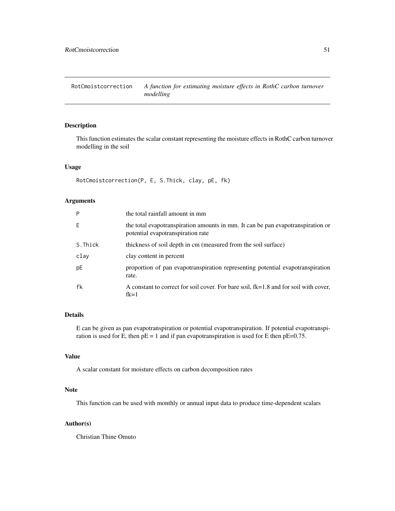RotCmoistcorrection *A function for estimating moisture effects in RothC carbon turnover modelling*

## Description

This function estimates the scalar constant representing the moisture effects in RothC carbon turnover modelling in the soil

#### Usage

```
RotCmoistcorrection(P, E, S.Thick, clay, pE, fk)
```
## Arguments

| P       | the total rainfall amount in mm                                                                                      |
|---------|----------------------------------------------------------------------------------------------------------------------|
| Ε       | the total evapotranspiration amounts in mm. It can be pan evapotranspiration or<br>potential evapotranspiration rate |
| S.Thick | thickness of soil depth in cm (measured from the soil surface)                                                       |
| clay    | clay content in percent                                                                                              |
| pE      | proportion of pan evapotranspiration representing potential evapotranspiration<br>rate.                              |
| fk      | A constant to correct for soil cover. For bare soil, fk=1.8 and for soil with cover,<br>$fk=1$                       |

## Details

E can be given as pan evapotranspiration or potential evapotranspiration. If potential evapotranspiration is used for E, then  $pE = 1$  and if pan evapotranspiration is used for E then  $pE=0.75$ .

# Value

A scalar constant for moisture effects on carbon decomposition rates

#### Note

This function can be used with monthly or annual input data to produce time-dependent scalars

#### Author(s)

Christian Thine Omuto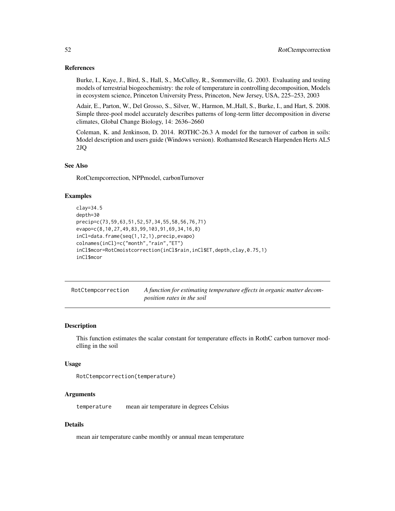### References

Burke, I., Kaye, J., Bird, S., Hall, S., McCulley, R., Sommerville, G. 2003. Evaluating and testing models of terrestrial biogeochemistry: the role of temperature in controlling decomposition, Models in ecosystem science, Princeton University Press, Princeton, New Jersey, USA, 225–253, 2003

Adair, E., Parton, W., Del Grosso, S., Silver, W., Harmon, M.,Hall, S., Burke, I., and Hart, S. 2008. Simple three-pool model accurately describes patterns of long-term litter decomposition in diverse climates, Global Change Biology, 14: 2636–2660

Coleman, K. and Jenkinson, D. 2014. ROTHC-26.3 A model for the turnover of carbon in soils: Model description and users guide (Windows version). Rothamsted Research Harpenden Herts AL5 2JQ

## See Also

RotCtempcorrection, NPPmodel, carbonTurnover

## Examples

```
clay=34.5
depth=30
precip=c(73,59,63,51,52,57,34,55,58,56,76,71)
evapo=c(8,10,27,49,83,99,103,91,69,34,16,8)
inCl=data.frame(seq(1,12,1),precip,evapo)
colnames(inCl)=c("month","rain","ET")
inCl$mcor=RotCmoistcorrection(inCl$rain,inCl$ET,depth,clay,0.75,1)
inCl$mcor
```

| RotCtempcorrection | A function for estimating temperature effects in organic matter decom- |
|--------------------|------------------------------------------------------------------------|
|                    | <i>position rates in the soil</i>                                      |

## Description

This function estimates the scalar constant for temperature effects in RothC carbon turnover modelling in the soil

#### Usage

```
RotCtempcorrection(temperature)
```
## Arguments

temperature mean air temperature in degrees Celsius

## Details

mean air temperature canbe monthly or annual mean temperature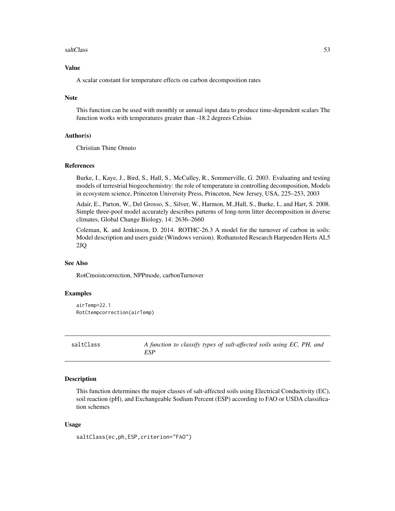#### saltClass 53

# Value

A scalar constant for temperature effects on carbon decomposition rates

## Note

This function can be used with monthly or annual input data to produce time-dependent scalars The function works with temperatures greater than -18.2 degrees Celsius

#### Author(s)

Christian Thine Omuto

#### References

Burke, I., Kaye, J., Bird, S., Hall, S., McCulley, R., Sommerville, G. 2003. Evaluating and testing models of terrestrial biogeochemistry: the role of temperature in controlling decomposition, Models in ecosystem science, Princeton University Press, Princeton, New Jersey, USA, 225–253, 2003

Adair, E., Parton, W., Del Grosso, S., Silver, W., Harmon, M.,Hall, S., Burke, I., and Hart, S. 2008. Simple three-pool model accurately describes patterns of long-term litter decomposition in diverse climates, Global Change Biology, 14: 2636–2660

Coleman, K. and Jenkinson, D. 2014. ROTHC-26.3 A model for the turnover of carbon in soils: Model description and users guide (Windows version). Rothamsted Research Harpenden Herts AL5 2JQ

# See Also

RotCmoistcorrection, NPPmode, carbonTurnover

## Examples

```
airTemp=22.1
RotCtempcorrection(airTemp)
```
saltClass *A function to classify types of salt-affected soils using EC, PH, and ESP*

#### Description

This function determines the major classes of salt-affected soils using Electrical Conductivity (EC), soil reaction (pH), and Exchangeable Sodium Percent (ESP) according to FAO or USDA classification schemes

# Usage

```
saltClass(ec,ph,ESP,criterion="FAO")
```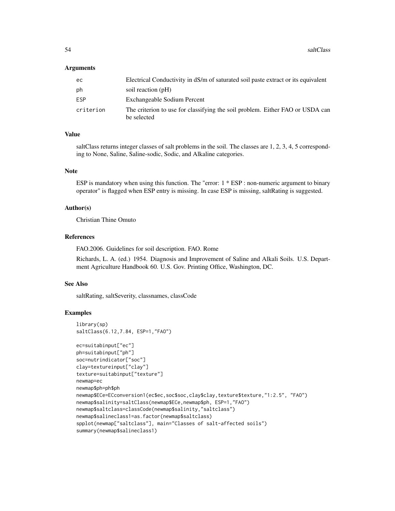## Arguments

| ec        | Electrical Conductivity in dS/m of saturated soil paste extract or its equivalent            |
|-----------|----------------------------------------------------------------------------------------------|
| ph        | soil reaction (pH)                                                                           |
| ESP       | Exchangeable Sodium Percent                                                                  |
| criterion | The criterion to use for classifying the soil problem. Either FAO or USDA can<br>be selected |

## Value

saltClass returns integer classes of salt problems in the soil. The classes are 1, 2, 3, 4, 5 corresponding to None, Saline, Saline-sodic, Sodic, and Alkaline categories.

# Note

ESP is mandatory when using this function. The "error: 1 \* ESP : non-numeric argument to binary operator" is flagged when ESP entry is missing. In case ESP is missing, saltRating is suggested.

## Author(s)

Christian Thine Omuto

#### References

FAO.2006. Guidelines for soil description. FAO. Rome

Richards, L. A. (ed.) 1954. Diagnosis and Improvement of Saline and Alkali Soils. U.S. Department Agriculture Handbook 60. U.S. Gov. Printing Office, Washington, DC.

## See Also

saltRating, saltSeverity, classnames, classCode

## Examples

```
library(sp)
saltClass(6.12,7.84, ESP=1,"FAO")
ec=suitabinput["ec"]
ph=suitabinput["ph"]
soc=nutrindicator["soc"]
clay=textureinput["clay"]
texture=suitabinput["texture"]
newmap=ec
newmap$ph=ph$ph
newmap$ECe=ECconversion1(ec$ec,soc$soc,clay$clay,texture$texture,"1:2.5", "FAO")
newmap$salinity=saltClass(newmap$ECe,newmap$ph, ESP=1,"FAO")
newmap$saltclass=classCode(newmap$salinity,"saltclass")
newmap$salineclass1=as.factor(newmap$saltclass)
spplot(newmap["saltclass"], main="Classes of salt-affected soils")
summary(newmap$salineclass1)
```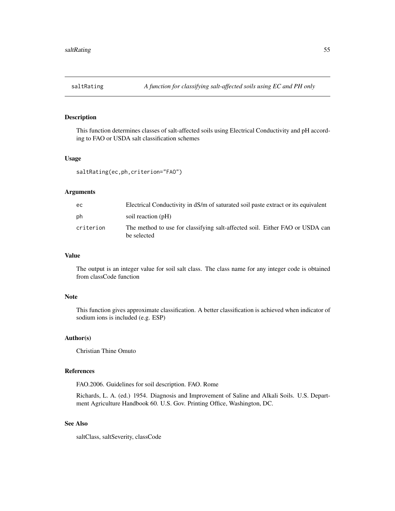# Description

This function determines classes of salt-affected soils using Electrical Conductivity and pH according to FAO or USDA salt classification schemes

## Usage

```
saltRating(ec,ph,criterion="FAO")
```
## Arguments

| ec        | Electrical Conductivity in dS/m of saturated soil paste extract or its equivalent           |
|-----------|---------------------------------------------------------------------------------------------|
| ph        | soil reaction (pH)                                                                          |
| criterion | The method to use for classifying salt-affected soil. Either FAO or USDA can<br>be selected |

# Value

The output is an integer value for soil salt class. The class name for any integer code is obtained from classCode function

#### Note

This function gives approximate classification. A better classification is achieved when indicator of sodium ions is included (e.g. ESP)

# Author(s)

Christian Thine Omuto

#### References

FAO.2006. Guidelines for soil description. FAO. Rome

Richards, L. A. (ed.) 1954. Diagnosis and Improvement of Saline and Alkali Soils. U.S. Department Agriculture Handbook 60. U.S. Gov. Printing Office, Washington, DC.

## See Also

saltClass, saltSeverity, classCode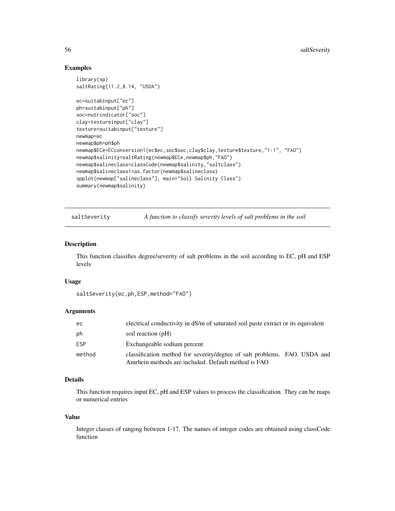## Examples

```
library(sp)
saltRating(11.2,8.14, "USDA")
ec=suitabinput["ec"]
ph=suitabinput["ph"]
soc=nutrindicator["soc"]
clay=textureinput["clay"]
texture=suitabinput["texture"]
newmap=ec
newmap$ph=ph$ph
newmap$ECe=ECconversion1(ec$ec,soc$soc,clay$clay,texture$texture,"1:1", "FAO")
newmap$salinity=saltRating(newmap$ECe,newmap$ph,"FAO")
newmap$salineclass=classCode(newmap$salinity,"saltclass")
newmap$salineclass1=as.factor(newmap$salineclass)
spplot(newmap["salineclass"], main="Soil Salinity Class")
summary(newmap$salinity)
```
saltSeverity *A function to classify severity levels of salt problems in the soil* 

# Description

This function classifies degree/severity of salt problems in the soil according to EC, pH and ESP levels

#### Usage

```
saltSeverity(ec,ph,ESP,method="FAO")
```
## Arguments

| ec         | electrical conductivity in dS/m of saturated soil paste extract or its equivalent                                                |
|------------|----------------------------------------------------------------------------------------------------------------------------------|
| ph         | soil reaction (pH)                                                                                                               |
| <b>ESP</b> | Exchangeable sodium percent                                                                                                      |
| method     | classification method for severity/degree of salt problems. FAO, USDA and<br>Amrhein methods are included. Default method is FAO |

# Details

This function requires input EC, pH and ESP values to process the classification. They can be maps or numerical entries

# Value

Integer classes of ranging between 1-17. The names of integer codes are obtained using classCode function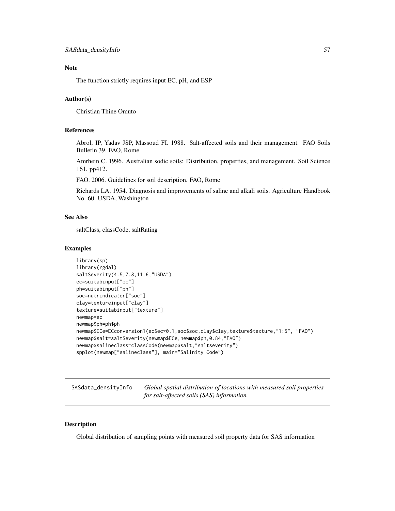# Note

The function strictly requires input EC, pH, and ESP

# Author(s)

Christian Thine Omuto

# **References**

Abrol, IP, Yadav JSP, Massoud FI. 1988. Salt-affected soils and their management. FAO Soils Bulletin 39. FAO, Rome

Amrhein C. 1996. Australian sodic soils: Distribution, properties, and management. Soil Science 161. pp412.

FAO. 2006. Guidelines for soil description. FAO, Rome

Richards LA. 1954. Diagnosis and improvements of saline and alkali soils. Agriculture Handbook No. 60. USDA, Washington

# See Also

saltClass, classCode, saltRating

## Examples

```
library(sp)
library(rgdal)
saltSeverity(4.5,7.8,11.6,"USDA")
ec=suitabinput["ec"]
ph=suitabinput["ph"]
soc=nutrindicator["soc"]
clay=textureinput["clay"]
texture=suitabinput["texture"]
newmap=ec
newmap$ph=ph$ph
newmap$ECe=ECconversion1(ec$ec*0.1,soc$soc,clay$clay,texture$texture,"1:5", "FAO")
newmap$salt=saltSeverity(newmap$ECe,newmap$ph,0.84,"FAO")
newmap$salineclass=classCode(newmap$salt,"saltseverity")
spplot(newmap["salineclass"], main="Salinity Code")
```
SASdata\_densityInfo *Global spatial distribution of locations with measured soil properties for salt-affected soils (SAS) information*

## Description

Global distribution of sampling points with measured soil property data for SAS information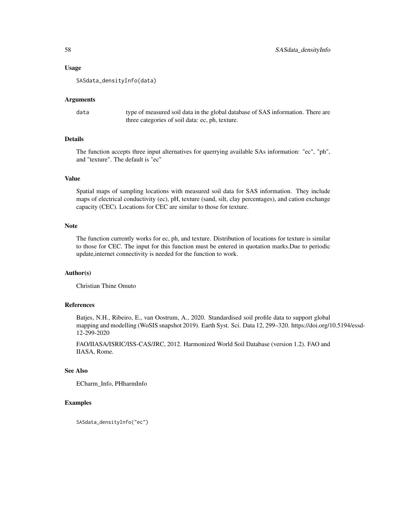## Usage

SASdata\_densityInfo(data)

#### Arguments

data type of measured soil data in the global database of SAS information. There are three categories of soil data: ec, ph, texture.

# Details

The function accepts three input alternatives for querrying available SAs information: "ec", "ph", and "texture". The default is "ec"

#### Value

Spatial maps of sampling locations with measured soil data for SAS information. They include maps of electrical conductivity (ec), pH, texture (sand, silt, clay percentages), and cation exchange capacity (CEC). Locations for CEC are similar to those for texture.

#### Note

The function currently works for ec, ph, and texture. Distribution of locations for texture is similar to those for CEC. The input for this function must be entered in quotation marks.Due to periodic update,internet connectivity is needed for the function to work.

# Author(s)

Christian Thine Omuto

# References

Batjes, N.H., Ribeiro, E., van Oostrum, A., 2020. Standardised soil profile data to support global mapping and modelling (WoSIS snapshot 2019). Earth Syst. Sci. Data 12, 299–320. https://doi.org/10.5194/essd-12-299-2020

FAO/IIASA/ISRIC/ISS-CAS/JRC, 2012. Harmonized World Soil Database (version 1.2). FAO and IIASA, Rome.

## See Also

ECharm\_Info, PHharmInfo

## Examples

SASdata\_densityInfo("ec")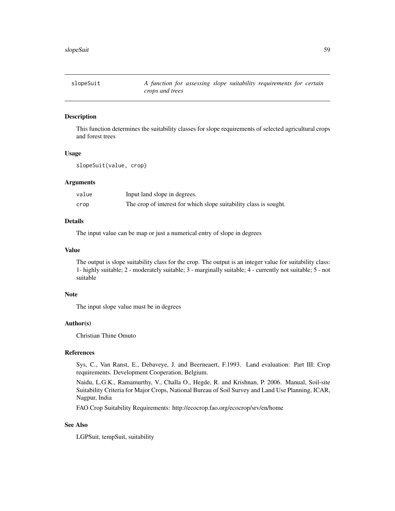# Description

This function determines the suitability classes for slope requirements of selected agricultural crops and forest trees

## Usage

slopeSuit(value, crop)

#### Arguments

| value | Input land slope in degrees.                                      |
|-------|-------------------------------------------------------------------|
| crop  | The crop of interest for which slope suitability class is sought. |

## Details

The input value can be map or just a numerical entry of slope in degrees

#### Value

The output is slope suitability class for the crop. The output is an integer value for suitability class: 1- highly suitable; 2 - moderately suitable; 3 - marginally suitable; 4 - currently not suitable; 5 - not suitable

## Note

The input slope value must be in degrees

## Author(s)

Christian Thine Omuto

#### References

Sys, C., Van Ranst, E., Debaveye, J. and Beerneaert, F.1993. Land evaluation: Part III: Crop requirements. Development Cooperation, Belgium.

Naidu, L.G.K., Ramamurthy, V., Challa O., Hegde, R. and Krishnan, P. 2006. Manual, Soil-site Suitability Criteria for Major Crops, National Bureau of Soil Survey and Land Use Planning, ICAR, Nagpur, India

FAO Crop Suitability Requirements: http://ecocrop.fao.org/ecocrop/srv/en/home

## See Also

LGPSuit, tempSuit, suitability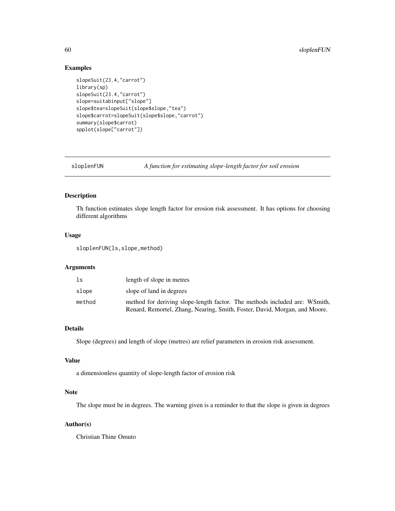## Examples

```
slopeSuit(23.4,"carrot")
library(sp)
slopeSuit(23.4,"carrot")
slope=suitabinput["slope"]
slope$tea=slopeSuit(slope$slope,"tea")
slope$carrot=slopeSuit(slope$slope,"carrot")
summary(slope$carrot)
spplot(slope["carrot"])
```
sloplenFUN *A function for estimating slope-length factor for soil erosion*

# Description

Th function estimates slope length factor for erosion risk assessment. It has options for choosing different algorithms

## Usage

sloplenFUN(ls,slope,method)

# Arguments

| ls     | length of slope in metres                                                  |
|--------|----------------------------------------------------------------------------|
| slope  | slope of land in degrees                                                   |
| method | method for deriving slope-length factor. The methods included are: WSmith, |
|        | Renard, Remortel, Zhang, Nearing, Smith, Foster, David, Morgan, and Moore. |

## Details

Slope (degrees) and length of slope (metres) are relief parameters in erosion risk assessment.

# Value

a dimensionless quantity of slope-length factor of erosion risk

# Note

The slope must be in degrees. The warning given is a reminder to that the slope is given in degrees

## Author(s)

Christian Thine Omuto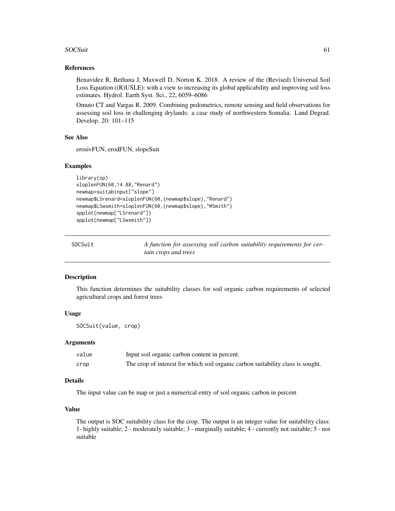#### SOCSuit 61

## References

Benavidez R, Bethana J, Maxwell D, Norton K. 2018. A review of the (Revised) Universal Soil Loss Equation ((R)USLE): with a view to increasing its global applicability and improving soil loss estimates. Hydrol. Earth Syst. Sci., 22, 6059–6086

Omuto CT and Vargas R. 2009. Combining pedometrics, remote sensing and field observations for assessing soil loss in challenging drylands: a case study of northwestern Somalia. Land Degrad. Develop. 20: 101–115

## See Also

erosivFUN, erodFUN, slopeSuit

#### Examples

```
library(sp)
sloplenFUN(60,14.88,"Renard")
newmap=suitabinput["slope"]
newmap$LSrenard=sloplenFUN(60,(newmap$slope),"Renard")
newmap$LSwsmith=sloplenFUN(60,(newmap$slope),"WSmith")
spplot(newmap["LSrenard"])
spplot(newmap["LSwsmith"])
```

| SOCSuit | A function for assessing soil carbon suitability requirements for cer- |
|---------|------------------------------------------------------------------------|
|         | tain crops and trees                                                   |

## Description

This function determines the suitability classes for soil organic carbon requirements of selected agricultural crops and forest trees

## Usage

SOCSuit(value, crop)

## Arguments

| value | Input soil organic carbon content in percent.                                   |
|-------|---------------------------------------------------------------------------------|
| crop  | The crop of interest for which soil organic carbon suitability class is sought. |

## Details

The input value can be map or just a numerical entry of soil organic carbon in percent

## Value

The output is SOC suitability class for the crop. The output is an integer value for suitability class: 1- highly suitable; 2 - moderately suitable; 3 - marginally suitable; 4 - currently not suitable; 5 - not suitable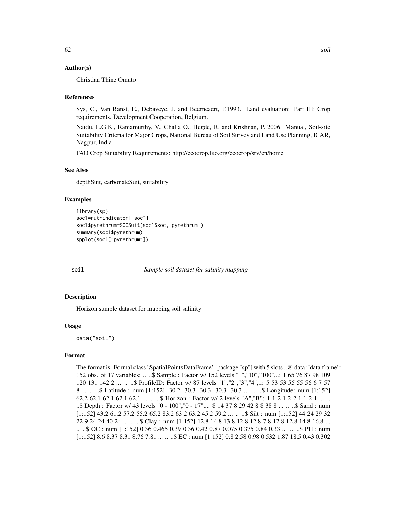## Author(s)

Christian Thine Omuto

## References

Sys, C., Van Ranst, E., Debaveye, J. and Beerneaert, F.1993. Land evaluation: Part III: Crop requirements. Development Cooperation, Belgium.

Naidu, L.G.K., Ramamurthy, V., Challa O., Hegde, R. and Krishnan, P. 2006. Manual, Soil-site Suitability Criteria for Major Crops, National Bureau of Soil Survey and Land Use Planning, ICAR, Nagpur, India

FAO Crop Suitability Requirements: http://ecocrop.fao.org/ecocrop/srv/en/home

## See Also

depthSuit, carbonateSuit, suitability

## Examples

```
library(sp)
soc1=nutrindicator["soc"]
soc1$pyrethrum=SOCSuit(soc1$soc,"pyrethrum")
summary(soc1$pyrethrum)
spplot(soc1["pyrethrum"])
```
soil *Sample soil dataset for salinity mapping*

## Description

Horizon sample dataset for mapping soil salinity

#### Usage

data("soil")

## Format

The format is: Formal class 'SpatialPointsDataFrame' [package "sp"] with 5 slots ..@ data :'data.frame': 152 obs. of 17 variables: .. ..\$ Sample : Factor w/ 152 levels "1","10","100",..: 1 65 76 87 98 109 120 131 142 2 ... .. ..\$ ProfileID: Factor w/ 87 levels "1","2","3","4",..: 5 53 53 55 55 56 6 7 57 8 ... .. ..\$ Latitude : num [1:152] -30.2 -30.3 -30.3 -30.3 -30.3 ... .. ..\$ Longitude: num [1:152] 62.2 62.1 62.1 62.1 62.1 ... .. ..\$ Horizon : Factor w/ 2 levels "A","B": 1 1 2 1 2 2 1 1 2 1 ... .. ..\$ Depth : Factor w/ 43 levels "0 - 100","0 - 17",..: 8 14 37 8 29 42 8 8 38 8 ... .. ..\$ Sand : num [1:152] 43.2 61.2 57.2 55.2 65.2 83.2 63.2 63.2 45.2 59.2 ... .. ..\$ Silt : num [1:152] 44 24 29 32 22 9 24 24 40 24 ... .. ..\$ Clay : num [1:152] 12.8 14.8 13.8 12.8 12.8 7.8 12.8 12.8 14.8 16.8 ... .. ..\$ OC : num [1:152] 0.36 0.465 0.39 0.36 0.42 0.87 0.075 0.375 0.84 0.33 ... .. ..\$ PH : num [1:152] 8.6 8.37 8.31 8.76 7.81 ... .. ..\$ EC : num [1:152] 0.8 2.58 0.98 0.532 1.87 18.5 0.43 0.302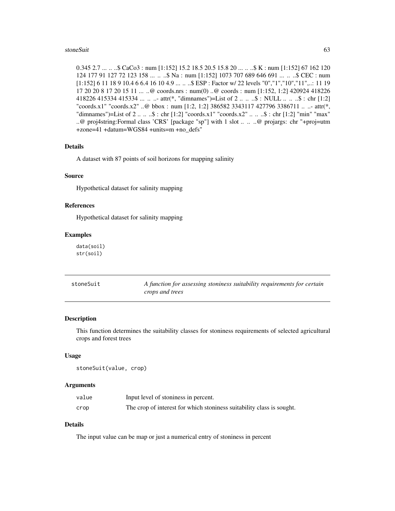#### stoneSuit 63

0.345 2.7 ... .. .\$ CaCo3 : num [1:152] 15.2 18.5 20.5 15.8 20 ... . ..\$ K : num [1:152] 67 162 120 124 177 91 127 72 123 158 ... .. ..\$ Na : num [1:152] 1073 707 689 646 691 ... .. ..\$ CEC : num [1:152] 6 11 18 9 10.4 6 6.4 16 10 4.9 ... .. ..\$ ESP : Factor w/ 22 levels "0","1","10","11",..: 11 19 17 20 20 8 17 20 15 11 ... ..@ coords.nrs : num(0) ..@ coords : num [1:152, 1:2] 420924 418226 418226 415334 415334 ... .. ..- attr(\*, "dimnames")=List of 2 .. .. ..\$ : NULL .. .. ..\$ : chr [1:2] "coords.x1" "coords.x2" ..@ bbox : num [1:2, 1:2] 386582 3343117 427796 3386711 .. ..- attr(\*, "dimnames")=List of 2 .. .. ..\$ : chr [1:2] "coords.x1" "coords.x2" .. .. ..\$ : chr [1:2] "min" "max" ..@ proj4string:Formal class 'CRS' [package "sp"] with 1 slot .. .. ..@ projargs: chr "+proj=utm +zone=41 +datum=WGS84 +units=m +no\_defs"

#### Details

A dataset with 87 points of soil horizons for mapping salinity

## Source

Hypothetical dataset for salinity mapping

## References

Hypothetical dataset for salinity mapping

#### Examples

data(soil) str(soil)

| stoneSuit | A function for assessing stoniness suitability requirements for certain |
|-----------|-------------------------------------------------------------------------|
|           | crops and trees                                                         |

## Description

This function determines the suitability classes for stoniness requirements of selected agricultural crops and forest trees

## Usage

```
stoneSuit(value, crop)
```
## Arguments

| value | Input level of stoniness in percent.                                  |
|-------|-----------------------------------------------------------------------|
| crop  | The crop of interest for which stoniness suitability class is sought. |

## Details

The input value can be map or just a numerical entry of stoniness in percent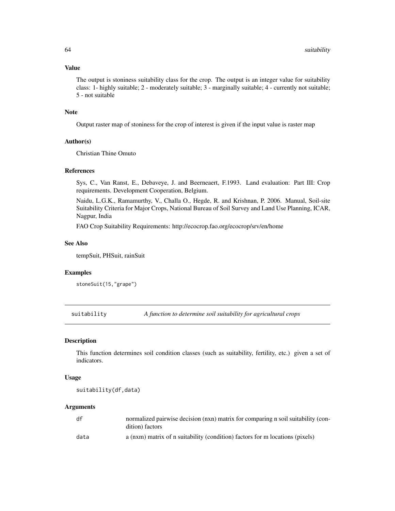## Value

The output is stoniness suitability class for the crop. The output is an integer value for suitability class: 1- highly suitable; 2 - moderately suitable; 3 - marginally suitable; 4 - currently not suitable; 5 - not suitable

## Note

Output raster map of stoniness for the crop of interest is given if the input value is raster map

# Author(s)

Christian Thine Omuto

## References

Sys, C., Van Ranst, E., Debaveye, J. and Beerneaert, F.1993. Land evaluation: Part III: Crop requirements. Development Cooperation, Belgium.

Naidu, L.G.K., Ramamurthy, V., Challa O., Hegde, R. and Krishnan, P. 2006. Manual, Soil-site Suitability Criteria for Major Crops, National Bureau of Soil Survey and Land Use Planning, ICAR, Nagpur, India

FAO Crop Suitability Requirements: http://ecocrop.fao.org/ecocrop/srv/en/home

## See Also

tempSuit, PHSuit, rainSuit

## Examples

stoneSuit(15,"grape")

suitability *A function to determine soil suitability for agricultural crops*

## Description

This function determines soil condition classes (such as suitability, fertility, etc.) given a set of indicators.

#### Usage

suitability(df,data)

#### Arguments

| df   | normalized pairwise decision (nxn) matrix for comparing n soil suitability (con-<br>dition) factors |
|------|-----------------------------------------------------------------------------------------------------|
| data | a (nxm) matrix of n suitability (condition) factors for m locations (pixels)                        |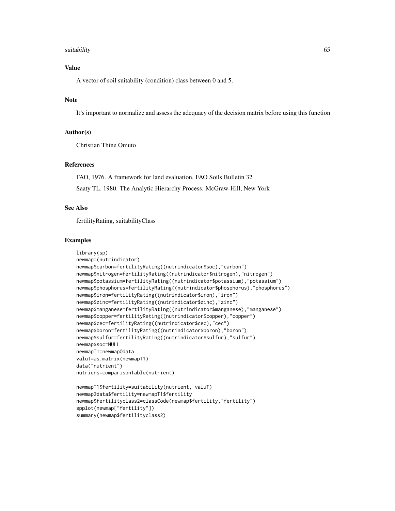#### suitability 65

# Value

A vector of soil suitability (condition) class between 0 and 5.

# Note

It's important to normalize and assess the adequacy of the decision matrix before using this function

## Author(s)

Christian Thine Omuto

# References

FAO, 1976. A framework for land evaluation. FAO Soils Bulletin 32 Saaty TL. 1980. The Analytic Hierarchy Process. McGraw-Hill, New York

## See Also

fertilityRating, suitabilityClass

## Examples

```
library(sp)
newmap=(nutrindicator)
newmap$carbon=fertilityRating((nutrindicator$soc),"carbon")
newmap$nitrogen=fertilityRating((nutrindicator$nitrogen),"nitrogen")
newmap$potassium=fertilityRating((nutrindicator$potassium),"potassium")
newmap$phosphorus=fertilityRating((nutrindicator$phosphorus),"phosphorus")
newmap$iron=fertilityRating((nutrindicator$iron),"iron")
newmap$zinc=fertilityRating((nutrindicator$zinc),"zinc")
newmap$manganese=fertilityRating((nutrindicator$manganese),"manganese")
newmap$copper=fertilityRating((nutrindicator$copper),"copper")
newmap$cec=fertilityRating((nutrindicator$cec),"cec")
newmap$boron=fertilityRating((nutrindicator$boron),"boron")
newmap$sulfur=fertilityRating((nutrindicator$sulfur),"sulfur")
newmap$soc=NULL
newmapT1=newmap@data
valuT=as.matrix(newmapT1)
data("nutrient")
nutriens=comparisonTable(nutrient)
newmapT1$fertility=suitability(nutrient, valuT)
```

```
newmap@data$fertility=newmapT1$fertility
newmap$fertilityclass2=classCode(newmap$fertility,"fertility")
spplot(newmap["fertility"])
summary(newmap$fertilityclass2)
```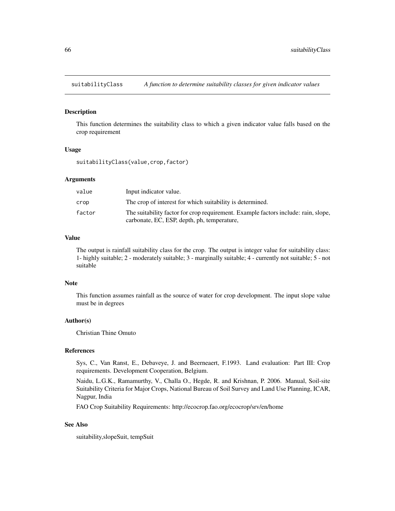## Description

This function determines the suitability class to which a given indicator value falls based on the crop requirement

## Usage

suitabilityClass(value,crop,factor)

## Arguments

| value  | Input indicator value.                                                             |
|--------|------------------------------------------------------------------------------------|
| crop   | The crop of interest for which suitability is determined.                          |
| factor | The suitability factor for crop requirement. Example factors include: rain, slope, |
|        | carbonate, EC, ESP, depth, ph, temperature,                                        |

# Value

The output is rainfall suitability class for the crop. The output is integer value for suitability class: 1- highly suitable; 2 - moderately suitable; 3 - marginally suitable; 4 - currently not suitable; 5 - not suitable

## Note

This function assumes rainfall as the source of water for crop development. The input slope value must be in degrees

## Author(s)

Christian Thine Omuto

#### References

Sys, C., Van Ranst, E., Debaveye, J. and Beerneaert, F.1993. Land evaluation: Part III: Crop requirements. Development Cooperation, Belgium.

Naidu, L.G.K., Ramamurthy, V., Challa O., Hegde, R. and Krishnan, P. 2006. Manual, Soil-site Suitability Criteria for Major Crops, National Bureau of Soil Survey and Land Use Planning, ICAR, Nagpur, India

FAO Crop Suitability Requirements: http://ecocrop.fao.org/ecocrop/srv/en/home

## See Also

suitability,slopeSuit, tempSuit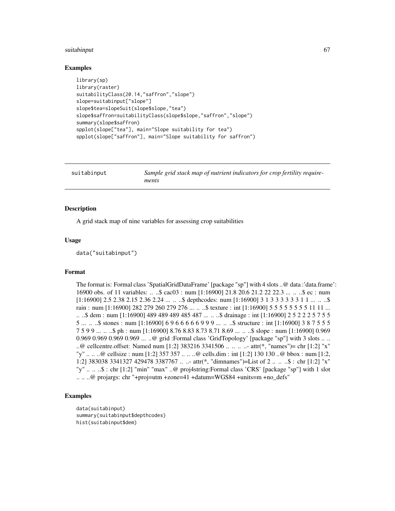#### suitabinput 67 (67 km) and the suitabinput 67 (67 km) and the suitabinput 67 (67 km) and the suitabinput 67 (67

## Examples

```
library(sp)
library(raster)
suitabilityClass(20.14,"saffron","slope")
slope=suitabinput["slope"]
slope$tea=slopeSuit(slope$slope,"tea")
slope$saffron=suitabilityClass(slope$slope,"saffron","slope")
summary(slope$saffron)
spplot(slope["tea"], main="Slope suitability for tea")
spplot(slope["saffron"], main="Slope suitability for saffron")
```

| suitabinput<br>ments |  | Sample grid stack map of nutrient indicators for crop fertility require- |
|----------------------|--|--------------------------------------------------------------------------|
|----------------------|--|--------------------------------------------------------------------------|

## Description

A grid stack map of nine variables for assessing crop suitabilities

## Usage

data("suitabinput")

#### Format

The format is: Formal class 'SpatialGridDataFrame' [package "sp"] with 4 slots ..@ data :'data.frame': 16900 obs. of 11 variables: .. ..\$ cac03 : num [1:16900] 21.8 20.6 21.2 22 22.3 ... .. ..\$ ec : num  $[1:16900]$  2.5 2.38 2.15 2.36 2.24 ... ... \$ depthcodes: num  $[1:16900]$  3 1 3 3 3 3 3 3 1 1 ... ... \$ rain : num [1:16900] 282 279 260 279 276 ... .. ..\$ texture : int [1:16900] 5 5 5 5 5 5 5 5 11 11 ... .. ..\$ dem : num [1:16900] 489 489 489 485 487 ... .. ..\$ drainage : int [1:16900] 2 5 2 2 2 5 7 5 5 5 ... .. ..\$ stones : num [1:16900] 6 9 6 6 6 6 6 9 9 9 ... .. ..\$ structure : int [1:16900] 3 8 7 5 5 5 7 5 9 9 ... .. ..\$ ph : num [1:16900] 8.76 8.83 8.73 8.71 8.69 ... .. ..\$ slope : num [1:16900] 0.969 0.969 0.969 0.969 0.969 ... ..@ grid :Formal class 'GridTopology' [package "sp"] with 3 slots .. .. ..@ cellcentre.offset: Named num [1:2] 383216 3341506 .. .. .. ..- attr(\*, "names")= chr [1:2] "x" "y" .. .. ..@ cellsize : num [1:2] 357 357 .. .. ..@ cells.dim : int [1:2] 130 130 ..@ bbox : num [1:2, 1:2] 383038 3341327 429478 3387767 .. ..- attr(\*, "dimnames")=List of 2 .. .. ..\$ : chr [1:2] "x" "y" .. .. ..\$ : chr [1:2] "min" "max" ..@ proj4string:Formal class 'CRS' [package "sp"] with 1 slot .. .. ..@ projargs: chr "+proj=utm +zone=41 +datum=WGS84 +units=m +no\_defs"

#### Examples

```
data(suitabinput)
summary(suitabinput$depthcodes)
hist(suitabinput$dem)
```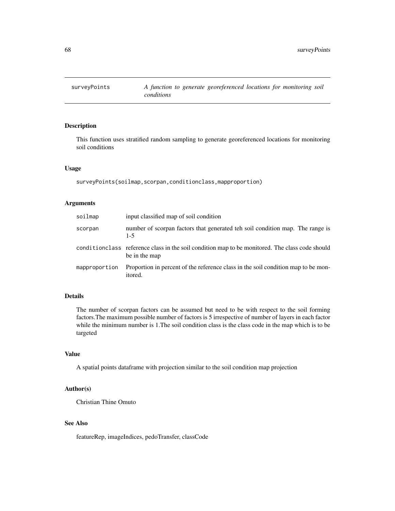## Description

This function uses stratified random sampling to generate georeferenced locations for monitoring soil conditions

## Usage

```
surveyPoints(soilmap,scorpan,conditionclass,mapproportion)
```
# Arguments

| soilmap       | input classified map of soil condition                                                                           |
|---------------|------------------------------------------------------------------------------------------------------------------|
| scorpan       | number of scorpan factors that generated teh soil condition map. The range is<br>$1 - 5$                         |
|               | conditionclass reference class in the soil condition map to be monitored. The class code should<br>be in the map |
| mapproportion | Proportion in percent of the reference class in the soil condition map to be mon-<br>itored.                     |

# Details

The number of scorpan factors can be assumed but need to be with respect to the soil forming factors.The maximum possible number of factors is 5 irrespective of number of layers in each factor while the minimum number is 1.The soil condition class is the class code in the map which is to be targeted

#### Value

A spatial points dataframe with projection similar to the soil condition map projection

# Author(s)

Christian Thine Omuto

# See Also

featureRep, imageIndices, pedoTransfer, classCode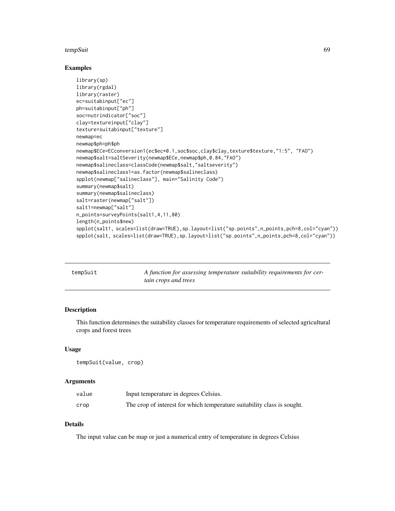#### tempSuit 69 and 50 and 50 and 50 and 50 and 50 and 50 and 50 and 50 and 50 and 50 and 50 and 50 and 50 and 50

## Examples

```
library(sp)
library(rgdal)
library(raster)
ec=suitabinput["ec"]
ph=suitabinput["ph"]
soc=nutrindicator["soc"]
clay=textureinput["clay"]
texture=suitabinput["texture"]
newmap=ec
newmap$ph=ph$ph
newmap$ECe=ECconversion1(ec$ec*0.1,soc$soc,clay$clay,texture$texture,"1:5", "FAO")
newmap$salt=saltSeverity(newmap$ECe,newmap$ph,0.84,"FAO")
newmap$salineclass=classCode(newmap$salt,"saltseverity")
newmap$salineclass1=as.factor(newmap$salineclass)
spplot(newmap["salineclass"], main="Salinity Code")
summary(newmap$salt)
summary(newmap$salineclass)
salt=raster(newmap["salt"])
salt1=newmap["salt"]
n_points=surveyPoints(salt1,4,11,80)
length(n_points$new)
spplot(salt1, scales=list(draw=TRUE),sp.layout=list("sp.points",n_points,pch=8,col="cyan"))
spplot(salt, scales=list(draw=TRUE),sp.layout=list("sp.points",n_points,pch=8,col="cyan"))
```

| tempSuit | A function for assessing temperature suitability requirements for cer- |
|----------|------------------------------------------------------------------------|
|          | tain crops and trees                                                   |

# Description

This function determines the suitability classes for temperature requirements of selected agricultural crops and forest trees

## Usage

tempSuit(value, crop)

## Arguments

| value | Input temperature in degrees Celsius.                                   |
|-------|-------------------------------------------------------------------------|
| crop  | The crop of interest for which temperature suitability class is sought. |

# Details

The input value can be map or just a numerical entry of temperature in degrees Celsius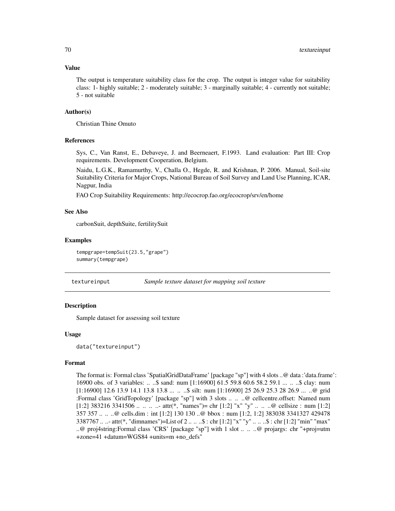#### Value

The output is temperature suitability class for the crop. The output is integer value for suitability class: 1- highly suitable; 2 - moderately suitable; 3 - marginally suitable; 4 - currently not suitable; 5 - not suitable

#### Author(s)

Christian Thine Omuto

## References

Sys, C., Van Ranst, E., Debaveye, J. and Beerneaert, F.1993. Land evaluation: Part III: Crop requirements. Development Cooperation, Belgium.

Naidu, L.G.K., Ramamurthy, V., Challa O., Hegde, R. and Krishnan, P. 2006. Manual, Soil-site Suitability Criteria for Major Crops, National Bureau of Soil Survey and Land Use Planning, ICAR, Nagpur, India

FAO Crop Suitability Requirements: http://ecocrop.fao.org/ecocrop/srv/en/home

## See Also

carbonSuit, depthSuite, fertilitySuit

## Examples

```
tempgrape=tempSuit(23.5,"grape")
summary(tempgrape)
```
textureinput *Sample texture dataset for mapping soil texture*

## **Description**

Sample dataset for assessing soil texture

## Usage

data("textureinput")

#### Format

The format is: Formal class 'SpatialGridDataFrame' [package "sp"] with 4 slots ..@ data :'data.frame': 16900 obs. of 3 variables: .. ..\$ sand: num [1:16900] 61.5 59.8 60.6 58.2 59.1 ... .. ..\$ clay: num [1:16900] 12.6 13.9 14.1 13.8 13.8 ... .. ..\$ silt: num [1:16900] 25 26.9 25.3 28 26.9 ... ..@ grid :Formal class 'GridTopology' [package "sp"] with 3 slots .. .. ..@ cellcentre.offset: Named num [1:2]  $383216\,3341506\ldots \ldots \ldots$  attr $(*, "names") = \text{chr} [1:2] "x" "y" \ldots \ldots \text{ @ cellsize : num} [1:2]$ 357 357 .. .. ..@ cells.dim : int [1:2] 130 130 ..@ bbox : num [1:2, 1:2] 383038 3341327 429478 3387767 .. ..- attr(\*, "dimnames")=List of 2 .. .. ..\$ : chr [1:2] "x" "y" .. .. ..\$ : chr [1:2] "min" "max" ..@ proj4string:Formal class 'CRS' [package "sp"] with 1 slot .. .. ..@ projargs: chr "+proj=utm +zone=41 +datum=WGS84 +units=m +no\_defs"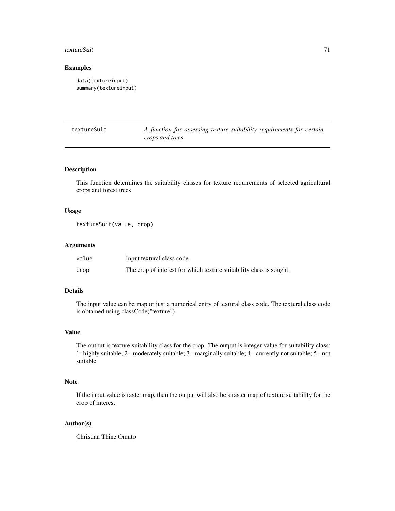#### textureSuit 71

## Examples

```
data(textureinput)
summary(textureinput)
```
textureSuit *A function for assessing texture suitability requirements for certain crops and trees*

# Description

This function determines the suitability classes for texture requirements of selected agricultural crops and forest trees

## Usage

textureSuit(value, crop)

# Arguments

| value | Input textural class code.                                          |
|-------|---------------------------------------------------------------------|
| crop  | The crop of interest for which texture suitability class is sought. |

# Details

The input value can be map or just a numerical entry of textural class code. The textural class code is obtained using classCode("texture")

## Value

The output is texture suitability class for the crop. The output is integer value for suitability class: 1- highly suitable; 2 - moderately suitable; 3 - marginally suitable; 4 - currently not suitable; 5 - not suitable

## Note

If the input value is raster map, then the output will also be a raster map of texture suitability for the crop of interest

## Author(s)

Christian Thine Omuto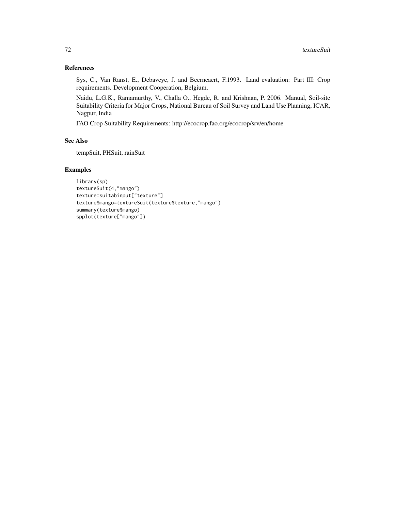# References

Sys, C., Van Ranst, E., Debaveye, J. and Beerneaert, F.1993. Land evaluation: Part III: Crop requirements. Development Cooperation, Belgium.

Naidu, L.G.K., Ramamurthy, V., Challa O., Hegde, R. and Krishnan, P. 2006. Manual, Soil-site Suitability Criteria for Major Crops, National Bureau of Soil Survey and Land Use Planning, ICAR, Nagpur, India

FAO Crop Suitability Requirements: http://ecocrop.fao.org/ecocrop/srv/en/home

# See Also

tempSuit, PHSuit, rainSuit

## Examples

```
library(sp)
textureSuit(4,"mango")
texture=suitabinput["texture"]
texture$mango=textureSuit(texture$texture,"mango")
summary(texture$mango)
spplot(texture["mango"])
```